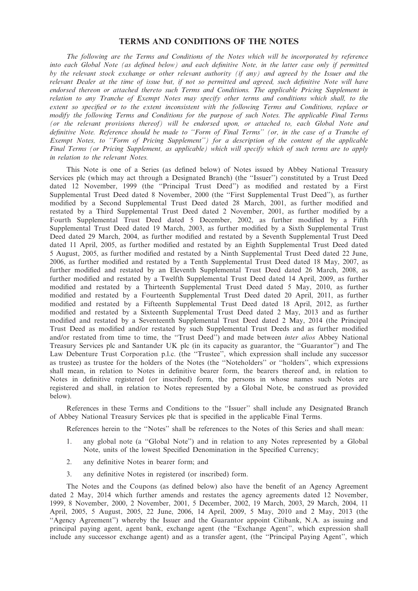### TERMS AND CONDITIONS OF THE NOTES

The following are the Terms and Conditions of the Notes which will be incorporated by reference into each Global Note (as defined below) and each definitive Note, in the latter case only if permitted by the relevant stock exchange or other relevant authority (if any) and agreed by the Issuer and the relevant Dealer at the time of issue but, if not so permitted and agreed, such definitive Note will have endorsed thereon or attached thereto such Terms and Conditions. The applicable Pricing Supplement in relation to any Tranche of Exempt Notes may specify other terms and conditions which shall, to the extent so specified or to the extent inconsistent with the following Terms and Conditions, replace or modify the following Terms and Conditions for the purpose of such Notes. The applicable Final Terms (or the relevant provisions thereof) will be endorsed upon, or attached to, each Global Note and definitive Note. Reference should be made to ''Form of Final Terms'' (or, in the case of a Tranche of Exempt Notes, to ''Form of Pricing Supplement'') for a description of the content of the applicable Final Terms (or Pricing Supplement, as applicable) which will specify which of such terms are to apply in relation to the relevant Notes.

This Note is one of a Series (as defined below) of Notes issued by Abbey National Treasury Services plc (which may act through a Designated Branch) (the ''Issuer'') constituted by a Trust Deed dated 12 November, 1999 (the ''Principal Trust Deed'') as modified and restated by a First Supplemental Trust Deed dated 8 November, 2000 (the ''First Supplemental Trust Deed''), as further modified by a Second Supplemental Trust Deed dated 28 March, 2001, as further modified and restated by a Third Supplemental Trust Deed dated 2 November, 2001, as further modified by a Fourth Supplemental Trust Deed dated 5 December, 2002, as further modified by a Fifth Supplemental Trust Deed dated 19 March, 2003, as further modified by a Sixth Supplemental Trust Deed dated 29 March, 2004, as further modified and restated by a Seventh Supplemental Trust Deed dated 11 April, 2005, as further modified and restated by an Eighth Supplemental Trust Deed dated 5 August, 2005, as further modified and restated by a Ninth Supplemental Trust Deed dated 22 June, 2006, as further modified and restated by a Tenth Supplemental Trust Deed dated 18 May, 2007, as further modified and restated by an Eleventh Supplemental Trust Deed dated 26 March, 2008, as further modified and restated by a Twelfth Supplemental Trust Deed dated 14 April, 2009, as further modified and restated by a Thirteenth Supplemental Trust Deed dated 5 May, 2010, as further modified and restated by a Fourteenth Supplemental Trust Deed dated 20 April, 2011, as further modified and restated by a Fifteenth Supplemental Trust Deed dated 18 April, 2012, as further modified and restated by a Sixteenth Supplemental Trust Deed dated 2 May, 2013 and as further modified and restated by a Seventeenth Supplemental Trust Deed dated 2 May, 2014 (the Principal Trust Deed as modified and/or restated by such Supplemental Trust Deeds and as further modified and/or restated from time to time, the ''Trust Deed'') and made between inter alios Abbey National Treasury Services plc and Santander UK plc (in its capacity as guarantor, the ''Guarantor'') and The Law Debenture Trust Corporation p.l.c. (the "Trustee", which expression shall include any successor as trustee) as trustee for the holders of the Notes (the ''Noteholders'' or ''holders'', which expressions shall mean, in relation to Notes in definitive bearer form, the bearers thereof and, in relation to Notes in definitive registered (or inscribed) form, the persons in whose names such Notes are registered and shall, in relation to Notes represented by a Global Note, be construed as provided below).

References in these Terms and Conditions to the ''Issuer'' shall include any Designated Branch of Abbey National Treasury Services plc that is specified in the applicable Final Terms.

References herein to the ''Notes'' shall be references to the Notes of this Series and shall mean:

- 1. any global note (a ''Global Note'') and in relation to any Notes represented by a Global Note, units of the lowest Specified Denomination in the Specified Currency;
- 2. any definitive Notes in bearer form; and
- 3. any definitive Notes in registered (or inscribed) form.

The Notes and the Coupons (as defined below) also have the benefit of an Agency Agreement dated 2 May, 2014 which further amends and restates the agency agreements dated 12 November, 1999, 8 November, 2000, 2 November, 2001, 5 December, 2002, 19 March, 2003, 29 March, 2004, 11 April, 2005, 5 August, 2005, 22 June, 2006, 14 April, 2009, 5 May, 2010 and 2 May, 2013 (the ''Agency Agreement'') whereby the Issuer and the Guarantor appoint Citibank, N.A. as issuing and principal paying agent, agent bank, exchange agent (the ''Exchange Agent'', which expression shall include any successor exchange agent) and as a transfer agent, (the ''Principal Paying Agent'', which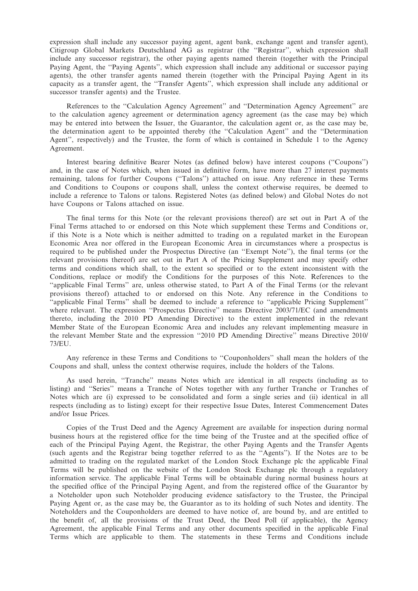expression shall include any successor paying agent, agent bank, exchange agent and transfer agent), Citigroup Global Markets Deutschland AG as registrar (the ''Registrar'', which expression shall include any successor registrar), the other paying agents named therein (together with the Principal Paying Agent, the ''Paying Agents'', which expression shall include any additional or successor paying agents), the other transfer agents named therein (together with the Principal Paying Agent in its capacity as a transfer agent, the ''Transfer Agents'', which expression shall include any additional or successor transfer agents) and the Trustee.

References to the ''Calculation Agency Agreement'' and ''Determination Agency Agreement'' are to the calculation agency agreement or determination agency agreement (as the case may be) which may be entered into between the Issuer, the Guarantor, the calculation agent or, as the case may be, the determination agent to be appointed thereby (the ''Calculation Agent'' and the ''Determination Agent'', respectively) and the Trustee, the form of which is contained in Schedule 1 to the Agency Agreement.

Interest bearing definitive Bearer Notes (as defined below) have interest coupons (''Coupons'') and, in the case of Notes which, when issued in definitive form, have more than 27 interest payments remaining, talons for further Coupons (''Talons'') attached on issue. Any reference in these Terms and Conditions to Coupons or coupons shall, unless the context otherwise requires, be deemed to include a reference to Talons or talons. Registered Notes (as defined below) and Global Notes do not have Coupons or Talons attached on issue.

The final terms for this Note (or the relevant provisions thereof) are set out in Part A of the Final Terms attached to or endorsed on this Note which supplement these Terms and Conditions or, if this Note is a Note which is neither admitted to trading on a regulated market in the European Economic Area nor offered in the European Economic Area in circumstances where a prospectus is required to be published under the Prospectus Directive (an ''Exempt Note''), the final terms (or the relevant provisions thereof) are set out in Part A of the Pricing Supplement and may specify other terms and conditions which shall, to the extent so specified or to the extent inconsistent with the Conditions, replace or modify the Conditions for the purposes of this Note. References to the ''applicable Final Terms'' are, unless otherwise stated, to Part A of the Final Terms (or the relevant provisions thereof) attached to or endorsed on this Note. Any reference in the Conditions to ''applicable Final Terms'' shall be deemed to include a reference to ''applicable Pricing Supplement'' where relevant. The expression "Prospectus Directive" means Directive 2003/71/EC (and amendments thereto, including the 2010 PD Amending Directive) to the extent implemented in the relevant Member State of the European Economic Area and includes any relevant implementing measure in the relevant Member State and the expression ''2010 PD Amending Directive'' means Directive 2010/ 73/EU.

Any reference in these Terms and Conditions to ''Couponholders'' shall mean the holders of the Coupons and shall, unless the context otherwise requires, include the holders of the Talons.

As used herein, ''Tranche'' means Notes which are identical in all respects (including as to listing) and ''Series'' means a Tranche of Notes together with any further Tranche or Tranches of Notes which are (i) expressed to be consolidated and form a single series and (ii) identical in all respects (including as to listing) except for their respective Issue Dates, Interest Commencement Dates and/or Issue Prices.

Copies of the Trust Deed and the Agency Agreement are available for inspection during normal business hours at the registered office for the time being of the Trustee and at the specified office of each of the Principal Paying Agent, the Registrar, the other Paying Agents and the Transfer Agents (such agents and the Registrar being together referred to as the ''Agents''). If the Notes are to be admitted to trading on the regulated market of the London Stock Exchange plc the applicable Final Terms will be published on the website of the London Stock Exchange plc through a regulatory information service. The applicable Final Terms will be obtainable during normal business hours at the specified office of the Principal Paying Agent, and from the registered office of the Guarantor by a Noteholder upon such Noteholder producing evidence satisfactory to the Trustee, the Principal Paying Agent or, as the case may be, the Guarantor as to its holding of such Notes and identity. The Noteholders and the Couponholders are deemed to have notice of, are bound by, and are entitled to the benefit of, all the provisions of the Trust Deed, the Deed Poll (if applicable), the Agency Agreement, the applicable Final Terms and any other documents specified in the applicable Final Terms which are applicable to them. The statements in these Terms and Conditions include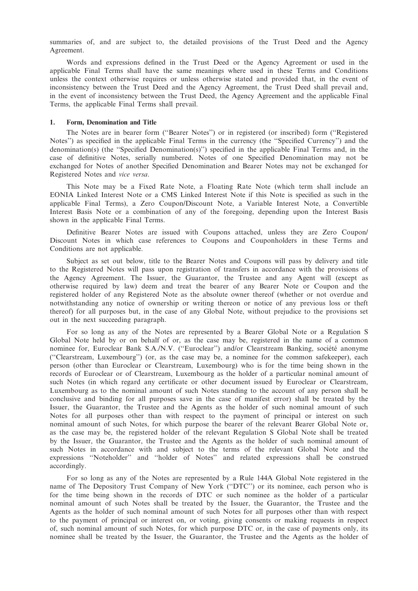summaries of, and are subject to, the detailed provisions of the Trust Deed and the Agency Agreement.

Words and expressions defined in the Trust Deed or the Agency Agreement or used in the applicable Final Terms shall have the same meanings where used in these Terms and Conditions unless the context otherwise requires or unless otherwise stated and provided that, in the event of inconsistency between the Trust Deed and the Agency Agreement, the Trust Deed shall prevail and, in the event of inconsistency between the Trust Deed, the Agency Agreement and the applicable Final Terms, the applicable Final Terms shall prevail.

#### 1. Form, Denomination and Title

The Notes are in bearer form (''Bearer Notes'') or in registered (or inscribed) form (''Registered Notes'') as specified in the applicable Final Terms in the currency (the ''Specified Currency'') and the denomination(s) (the ''Specified Denomination(s)'') specified in the applicable Final Terms and, in the case of definitive Notes, serially numbered. Notes of one Specified Denomination may not be exchanged for Notes of another Specified Denomination and Bearer Notes may not be exchanged for Registered Notes and vice versa.

This Note may be a Fixed Rate Note, a Floating Rate Note (which term shall include an EONIA Linked Interest Note or a CMS Linked Interest Note if this Note is specified as such in the applicable Final Terms), a Zero Coupon/Discount Note, a Variable Interest Note, a Convertible Interest Basis Note or a combination of any of the foregoing, depending upon the Interest Basis shown in the applicable Final Terms.

Definitive Bearer Notes are issued with Coupons attached, unless they are Zero Coupon/ Discount Notes in which case references to Coupons and Couponholders in these Terms and Conditions are not applicable.

Subject as set out below, title to the Bearer Notes and Coupons will pass by delivery and title to the Registered Notes will pass upon registration of transfers in accordance with the provisions of the Agency Agreement. The Issuer, the Guarantor, the Trustee and any Agent will (except as otherwise required by law) deem and treat the bearer of any Bearer Note or Coupon and the registered holder of any Registered Note as the absolute owner thereof (whether or not overdue and notwithstanding any notice of ownership or writing thereon or notice of any previous loss or theft thereof) for all purposes but, in the case of any Global Note, without prejudice to the provisions set out in the next succeeding paragraph.

For so long as any of the Notes are represented by a Bearer Global Note or a Regulation S Global Note held by or on behalf of or, as the case may be, registered in the name of a common nominee for, Euroclear Bank S.A./N.V. ("Euroclear") and/or Clearstream Banking, société anonyme (''Clearstream, Luxembourg'') (or, as the case may be, a nominee for the common safekeeper), each person (other than Euroclear or Clearstream, Luxembourg) who is for the time being shown in the records of Euroclear or of Clearstream, Luxembourg as the holder of a particular nominal amount of such Notes (in which regard any certificate or other document issued by Euroclear or Clearstream, Luxembourg as to the nominal amount of such Notes standing to the account of any person shall be conclusive and binding for all purposes save in the case of manifest error) shall be treated by the Issuer, the Guarantor, the Trustee and the Agents as the holder of such nominal amount of such Notes for all purposes other than with respect to the payment of principal or interest on such nominal amount of such Notes, for which purpose the bearer of the relevant Bearer Global Note or, as the case may be, the registered holder of the relevant Regulation S Global Note shall be treated by the Issuer, the Guarantor, the Trustee and the Agents as the holder of such nominal amount of such Notes in accordance with and subject to the terms of the relevant Global Note and the expressions ''Noteholder'' and ''holder of Notes'' and related expressions shall be construed accordingly.

For so long as any of the Notes are represented by a Rule 144A Global Note registered in the name of The Depository Trust Company of New York (''DTC'') or its nominee, each person who is for the time being shown in the records of DTC or such nominee as the holder of a particular nominal amount of such Notes shall be treated by the Issuer, the Guarantor, the Trustee and the Agents as the holder of such nominal amount of such Notes for all purposes other than with respect to the payment of principal or interest on, or voting, giving consents or making requests in respect of, such nominal amount of such Notes, for which purpose DTC or, in the case of payments only, its nominee shall be treated by the Issuer, the Guarantor, the Trustee and the Agents as the holder of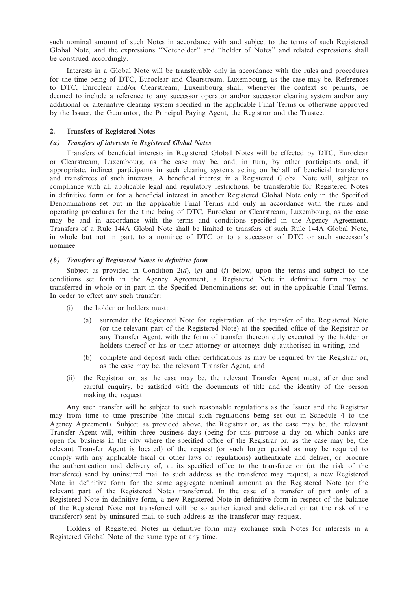such nominal amount of such Notes in accordance with and subject to the terms of such Registered Global Note, and the expressions ''Noteholder'' and ''holder of Notes'' and related expressions shall be construed accordingly.

Interests in a Global Note will be transferable only in accordance with the rules and procedures for the time being of DTC, Euroclear and Clearstream, Luxembourg, as the case may be. References to DTC, Euroclear and/or Clearstream, Luxembourg shall, whenever the context so permits, be deemed to include a reference to any successor operator and/or successor clearing system and/or any additional or alternative clearing system specified in the applicable Final Terms or otherwise approved by the Issuer, the Guarantor, the Principal Paying Agent, the Registrar and the Trustee.

### 2. Transfers of Registered Notes

### (a) Transfers of interests in Registered Global Notes

Transfers of beneficial interests in Registered Global Notes will be effected by DTC, Euroclear or Clearstream, Luxembourg, as the case may be, and, in turn, by other participants and, if appropriate, indirect participants in such clearing systems acting on behalf of beneficial transferors and transferees of such interests. A beneficial interest in a Registered Global Note will, subject to compliance with all applicable legal and regulatory restrictions, be transferable for Registered Notes in definitive form or for a beneficial interest in another Registered Global Note only in the Specified Denominations set out in the applicable Final Terms and only in accordance with the rules and operating procedures for the time being of DTC, Euroclear or Clearstream, Luxembourg, as the case may be and in accordance with the terms and conditions specified in the Agency Agreement. Transfers of a Rule 144A Global Note shall be limited to transfers of such Rule 144A Global Note, in whole but not in part, to a nominee of DTC or to a successor of DTC or such successor's nominee.

### (b) Transfers of Registered Notes in definitive form

Subject as provided in Condition  $2(d)$ ,  $(e)$  and  $(f)$  below, upon the terms and subject to the conditions set forth in the Agency Agreement, a Registered Note in definitive form may be transferred in whole or in part in the Specified Denominations set out in the applicable Final Terms. In order to effect any such transfer:

- (i) the holder or holders must:
	- (a) surrender the Registered Note for registration of the transfer of the Registered Note (or the relevant part of the Registered Note) at the specified office of the Registrar or any Transfer Agent, with the form of transfer thereon duly executed by the holder or holders thereof or his or their attorney or attorneys duly authorised in writing, and
	- (b) complete and deposit such other certifications as may be required by the Registrar or, as the case may be, the relevant Transfer Agent, and
- (ii) the Registrar or, as the case may be, the relevant Transfer Agent must, after due and careful enquiry, be satisfied with the documents of title and the identity of the person making the request.

Any such transfer will be subject to such reasonable regulations as the Issuer and the Registrar may from time to time prescribe (the initial such regulations being set out in Schedule 4 to the Agency Agreement). Subject as provided above, the Registrar or, as the case may be, the relevant Transfer Agent will, within three business days (being for this purpose a day on which banks are open for business in the city where the specified office of the Registrar or, as the case may be, the relevant Transfer Agent is located) of the request (or such longer period as may be required to comply with any applicable fiscal or other laws or regulations) authenticate and deliver, or procure the authentication and delivery of, at its specified office to the transferee or (at the risk of the transferee) send by uninsured mail to such address as the transferee may request, a new Registered Note in definitive form for the same aggregate nominal amount as the Registered Note (or the relevant part of the Registered Note) transferred. In the case of a transfer of part only of a Registered Note in definitive form, a new Registered Note in definitive form in respect of the balance of the Registered Note not transferred will be so authenticated and delivered or (at the risk of the transferor) sent by uninsured mail to such address as the transferor may request.

Holders of Registered Notes in definitive form may exchange such Notes for interests in a Registered Global Note of the same type at any time.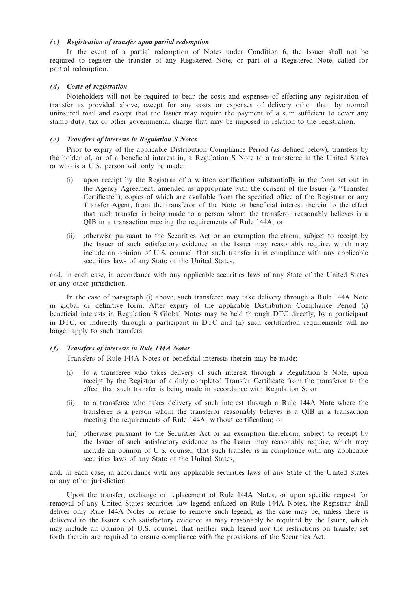## (c) Registration of transfer upon partial redemption

In the event of a partial redemption of Notes under Condition 6, the Issuer shall not be required to register the transfer of any Registered Note, or part of a Registered Note, called for partial redemption.

### (d) Costs of registration

Noteholders will not be required to bear the costs and expenses of effecting any registration of transfer as provided above, except for any costs or expenses of delivery other than by normal uninsured mail and except that the Issuer may require the payment of a sum sufficient to cover any stamp duty, tax or other governmental charge that may be imposed in relation to the registration.

### (e) Transfers of interests in Regulation S Notes

Prior to expiry of the applicable Distribution Compliance Period (as defined below), transfers by the holder of, or of a beneficial interest in, a Regulation S Note to a transferee in the United States or who is a U.S. person will only be made:

- (i) upon receipt by the Registrar of a written certification substantially in the form set out in the Agency Agreement, amended as appropriate with the consent of the Issuer (a ''Transfer Certificate''), copies of which are available from the specified office of the Registrar or any Transfer Agent, from the transferor of the Note or beneficial interest therein to the effect that such transfer is being made to a person whom the transferor reasonably believes is a QIB in a transaction meeting the requirements of Rule 144A; or
- (ii) otherwise pursuant to the Securities Act or an exemption therefrom, subject to receipt by the Issuer of such satisfactory evidence as the Issuer may reasonably require, which may include an opinion of U.S. counsel, that such transfer is in compliance with any applicable securities laws of any State of the United States,

and, in each case, in accordance with any applicable securities laws of any State of the United States or any other jurisdiction.

In the case of paragraph (i) above, such transferee may take delivery through a Rule 144A Note in global or definitive form. After expiry of the applicable Distribution Compliance Period (i) beneficial interests in Regulation S Global Notes may be held through DTC directly, by a participant in DTC, or indirectly through a participant in DTC and (ii) such certification requirements will no longer apply to such transfers.

## (f) Transfers of interests in Rule 144A Notes

Transfers of Rule 144A Notes or beneficial interests therein may be made:

- (i) to a transferee who takes delivery of such interest through a Regulation S Note, upon receipt by the Registrar of a duly completed Transfer Certificate from the transferor to the effect that such transfer is being made in accordance with Regulation S; or
- (ii) to a transferee who takes delivery of such interest through a Rule 144A Note where the transferee is a person whom the transferor reasonably believes is a QIB in a transaction meeting the requirements of Rule 144A, without certification; or
- (iii) otherwise pursuant to the Securities Act or an exemption therefrom, subject to receipt by the Issuer of such satisfactory evidence as the Issuer may reasonably require, which may include an opinion of U.S. counsel, that such transfer is in compliance with any applicable securities laws of any State of the United States,

and, in each case, in accordance with any applicable securities laws of any State of the United States or any other jurisdiction.

Upon the transfer, exchange or replacement of Rule 144A Notes, or upon specific request for removal of any United States securities law legend enfaced on Rule 144A Notes, the Registrar shall deliver only Rule 144A Notes or refuse to remove such legend, as the case may be, unless there is delivered to the Issuer such satisfactory evidence as may reasonably be required by the Issuer, which may include an opinion of U.S. counsel, that neither such legend nor the restrictions on transfer set forth therein are required to ensure compliance with the provisions of the Securities Act.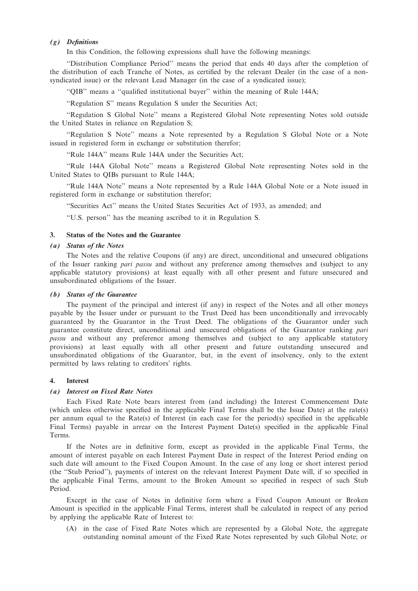## (g) Definitions

In this Condition, the following expressions shall have the following meanings:

''Distribution Compliance Period'' means the period that ends 40 days after the completion of the distribution of each Tranche of Notes, as certified by the relevant Dealer (in the case of a nonsyndicated issue) or the relevant Lead Manager (in the case of a syndicated issue);

''QIB'' means a ''qualified institutional buyer'' within the meaning of Rule 144A;

''Regulation S'' means Regulation S under the Securities Act;

''Regulation S Global Note'' means a Registered Global Note representing Notes sold outside the United States in reliance on Regulation S;

''Regulation S Note'' means a Note represented by a Regulation S Global Note or a Note issued in registered form in exchange or substitution therefor;

''Rule 144A'' means Rule 144A under the Securities Act;

''Rule 144A Global Note'' means a Registered Global Note representing Notes sold in the United States to QIBs pursuant to Rule 144A;

''Rule 144A Note'' means a Note represented by a Rule 144A Global Note or a Note issued in registered form in exchange or substitution therefor;

''Securities Act'' means the United States Securities Act of 1933, as amended; and

''U.S. person'' has the meaning ascribed to it in Regulation S.

## 3. Status of the Notes and the Guarantee

## (a) Status of the Notes

The Notes and the relative Coupons (if any) are direct, unconditional and unsecured obligations of the Issuer ranking *pari passu* and without any preference among themselves and (subject to any applicable statutory provisions) at least equally with all other present and future unsecured and unsubordinated obligations of the Issuer.

### (b) Status of the Guarantee

The payment of the principal and interest (if any) in respect of the Notes and all other moneys payable by the Issuer under or pursuant to the Trust Deed has been unconditionally and irrevocably guaranteed by the Guarantor in the Trust Deed. The obligations of the Guarantor under such guarantee constitute direct, unconditional and unsecured obligations of the Guarantor ranking pari passu and without any preference among themselves and (subject to any applicable statutory provisions) at least equally with all other present and future outstanding unsecured and unsubordinated obligations of the Guarantor, but, in the event of insolvency, only to the extent permitted by laws relating to creditors' rights.

## 4. Interest

#### (a) Interest on Fixed Rate Notes

Each Fixed Rate Note bears interest from (and including) the Interest Commencement Date (which unless otherwise specified in the applicable Final Terms shall be the Issue Date) at the rate(s) per annum equal to the Rate(s) of Interest (in each case for the period(s) specified in the applicable Final Terms) payable in arrear on the Interest Payment Date(s) specified in the applicable Final Terms.

If the Notes are in definitive form, except as provided in the applicable Final Terms, the amount of interest payable on each Interest Payment Date in respect of the Interest Period ending on such date will amount to the Fixed Coupon Amount. In the case of any long or short interest period (the ''Stub Period''), payments of interest on the relevant Interest Payment Date will, if so specified in the applicable Final Terms, amount to the Broken Amount so specified in respect of such Stub Period.

Except in the case of Notes in definitive form where a Fixed Coupon Amount or Broken Amount is specified in the applicable Final Terms, interest shall be calculated in respect of any period by applying the applicable Rate of Interest to:

(A) in the case of Fixed Rate Notes which are represented by a Global Note, the aggregate outstanding nominal amount of the Fixed Rate Notes represented by such Global Note; or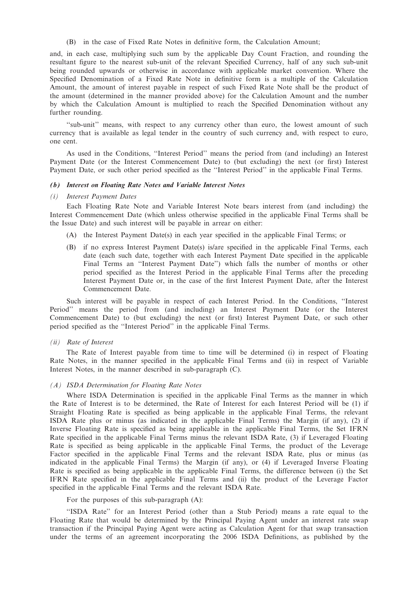(B) in the case of Fixed Rate Notes in definitive form, the Calculation Amount;

and, in each case, multiplying such sum by the applicable Day Count Fraction, and rounding the resultant figure to the nearest sub-unit of the relevant Specified Currency, half of any such sub-unit being rounded upwards or otherwise in accordance with applicable market convention. Where the Specified Denomination of a Fixed Rate Note in definitive form is a multiple of the Calculation Amount, the amount of interest payable in respect of such Fixed Rate Note shall be the product of the amount (determined in the manner provided above) for the Calculation Amount and the number by which the Calculation Amount is multiplied to reach the Specified Denomination without any further rounding.

"sub-unit" means, with respect to any currency other than euro, the lowest amount of such currency that is available as legal tender in the country of such currency and, with respect to euro, one cent.

As used in the Conditions, ''Interest Period'' means the period from (and including) an Interest Payment Date (or the Interest Commencement Date) to (but excluding) the next (or first) Interest Payment Date, or such other period specified as the ''Interest Period'' in the applicable Final Terms.

#### (b) Interest on Floating Rate Notes and Variable Interest Notes

# (i) Interest Payment Dates

Each Floating Rate Note and Variable Interest Note bears interest from (and including) the Interest Commencement Date (which unless otherwise specified in the applicable Final Terms shall be the Issue Date) and such interest will be payable in arrear on either:

- (A) the Interest Payment Date(s) in each year specified in the applicable Final Terms; or
- (B) if no express Interest Payment Date(s) is/are specified in the applicable Final Terms, each date (each such date, together with each Interest Payment Date specified in the applicable Final Terms an ''Interest Payment Date'') which falls the number of months or other period specified as the Interest Period in the applicable Final Terms after the preceding Interest Payment Date or, in the case of the first Interest Payment Date, after the Interest Commencement Date.

Such interest will be payable in respect of each Interest Period. In the Conditions, ''Interest Period'' means the period from (and including) an Interest Payment Date (or the Interest Commencement Date) to (but excluding) the next (or first) Interest Payment Date, or such other period specified as the ''Interest Period'' in the applicable Final Terms.

#### (ii) Rate of Interest

The Rate of Interest payable from time to time will be determined (i) in respect of Floating Rate Notes, in the manner specified in the applicable Final Terms and (ii) in respect of Variable Interest Notes, in the manner described in sub-paragraph (C).

#### (A) ISDA Determination for Floating Rate Notes

Where ISDA Determination is specified in the applicable Final Terms as the manner in which the Rate of Interest is to be determined, the Rate of Interest for each Interest Period will be (1) if Straight Floating Rate is specified as being applicable in the applicable Final Terms, the relevant ISDA Rate plus or minus (as indicated in the applicable Final Terms) the Margin (if any), (2) if Inverse Floating Rate is specified as being applicable in the applicable Final Terms, the Set IFRN Rate specified in the applicable Final Terms minus the relevant ISDA Rate, (3) if Leveraged Floating Rate is specified as being applicable in the applicable Final Terms, the product of the Leverage Factor specified in the applicable Final Terms and the relevant ISDA Rate, plus or minus (as indicated in the applicable Final Terms) the Margin (if any), or (4) if Leveraged Inverse Floating Rate is specified as being applicable in the applicable Final Terms, the difference between (i) the Set IFRN Rate specified in the applicable Final Terms and (ii) the product of the Leverage Factor specified in the applicable Final Terms and the relevant ISDA Rate.

For the purposes of this sub-paragraph (A):

''ISDA Rate'' for an Interest Period (other than a Stub Period) means a rate equal to the Floating Rate that would be determined by the Principal Paying Agent under an interest rate swap transaction if the Principal Paying Agent were acting as Calculation Agent for that swap transaction under the terms of an agreement incorporating the 2006 ISDA Definitions, as published by the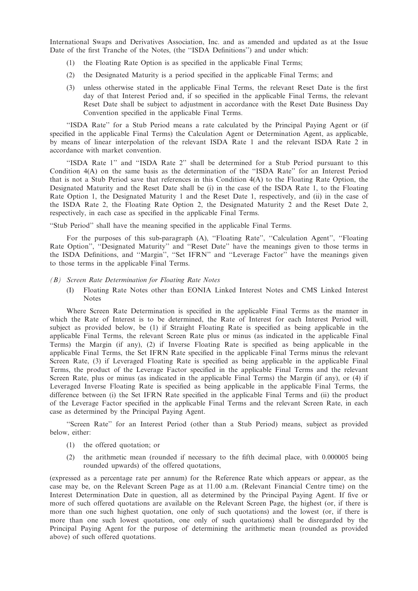International Swaps and Derivatives Association, Inc. and as amended and updated as at the Issue Date of the first Tranche of the Notes, (the ''ISDA Definitions'') and under which:

- (1) the Floating Rate Option is as specified in the applicable Final Terms;
- (2) the Designated Maturity is a period specified in the applicable Final Terms; and
- (3) unless otherwise stated in the applicable Final Terms, the relevant Reset Date is the first day of that Interest Period and, if so specified in the applicable Final Terms, the relevant Reset Date shall be subject to adjustment in accordance with the Reset Date Business Day Convention specified in the applicable Final Terms.

''ISDA Rate'' for a Stub Period means a rate calculated by the Principal Paying Agent or (if specified in the applicable Final Terms) the Calculation Agent or Determination Agent, as applicable, by means of linear interpolation of the relevant ISDA Rate 1 and the relevant ISDA Rate 2 in accordance with market convention.

''ISDA Rate 1'' and ''ISDA Rate 2'' shall be determined for a Stub Period pursuant to this Condition 4(A) on the same basis as the determination of the ''ISDA Rate'' for an Interest Period that is not a Stub Period save that references in this Condition 4(A) to the Floating Rate Option, the Designated Maturity and the Reset Date shall be (i) in the case of the ISDA Rate 1, to the Floating Rate Option 1, the Designated Maturity 1 and the Reset Date 1, respectively, and (ii) in the case of the ISDA Rate 2, the Floating Rate Option 2, the Designated Maturity 2 and the Reset Date 2, respectively, in each case as specified in the applicable Final Terms.

''Stub Period'' shall have the meaning specified in the applicable Final Terms.

For the purposes of this sub-paragraph (A), ''Floating Rate'', ''Calculation Agent'', ''Floating Rate Option", "Designated Maturity" and "Reset Date" have the meanings given to those terms in the ISDA Definitions, and ''Margin'', ''Set IFRN'' and ''Leverage Factor'' have the meanings given to those terms in the applicable Final Terms.

### (B) Screen Rate Determination for Floating Rate Notes

(I) Floating Rate Notes other than EONIA Linked Interest Notes and CMS Linked Interest Notes

Where Screen Rate Determination is specified in the applicable Final Terms as the manner in which the Rate of Interest is to be determined, the Rate of Interest for each Interest Period will, subject as provided below, be (1) if Straight Floating Rate is specified as being applicable in the applicable Final Terms, the relevant Screen Rate plus or minus (as indicated in the applicable Final Terms) the Margin (if any), (2) if Inverse Floating Rate is specified as being applicable in the applicable Final Terms, the Set IFRN Rate specified in the applicable Final Terms minus the relevant Screen Rate, (3) if Leveraged Floating Rate is specified as being applicable in the applicable Final Terms, the product of the Leverage Factor specified in the applicable Final Terms and the relevant Screen Rate, plus or minus (as indicated in the applicable Final Terms) the Margin (if any), or (4) if Leveraged Inverse Floating Rate is specified as being applicable in the applicable Final Terms, the difference between (i) the Set IFRN Rate specified in the applicable Final Terms and (ii) the product of the Leverage Factor specified in the applicable Final Terms and the relevant Screen Rate, in each case as determined by the Principal Paying Agent.

''Screen Rate'' for an Interest Period (other than a Stub Period) means, subject as provided below, either:

- (1) the offered quotation; or
- (2) the arithmetic mean (rounded if necessary to the fifth decimal place, with 0.000005 being rounded upwards) of the offered quotations,

(expressed as a percentage rate per annum) for the Reference Rate which appears or appear, as the case may be, on the Relevant Screen Page as at 11.00 a.m. (Relevant Financial Centre time) on the Interest Determination Date in question, all as determined by the Principal Paying Agent. If five or more of such offered quotations are available on the Relevant Screen Page, the highest (or, if there is more than one such highest quotation, one only of such quotations) and the lowest (or, if there is more than one such lowest quotation, one only of such quotations) shall be disregarded by the Principal Paying Agent for the purpose of determining the arithmetic mean (rounded as provided above) of such offered quotations.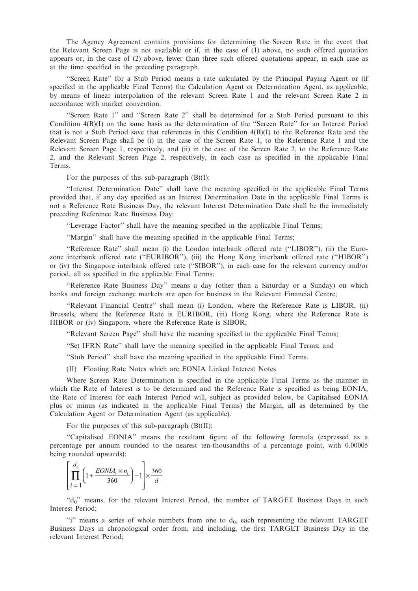The Agency Agreement contains provisions for determining the Screen Rate in the event that the Relevant Screen Page is not available or if, in the case of (1) above, no such offered quotation appears or, in the case of (2) above, fewer than three such offered quotations appear, in each case as at the time specified in the preceding paragraph.

''Screen Rate'' for a Stub Period means a rate calculated by the Principal Paying Agent or (if specified in the applicable Final Terms) the Calculation Agent or Determination Agent, as applicable, by means of linear interpolation of the relevant Screen Rate 1 and the relevant Screen Rate 2 in accordance with market convention.

''Screen Rate 1'' and ''Screen Rate 2'' shall be determined for a Stub Period pursuant to this Condition  $4(B)(I)$  on the same basis as the determination of the "Screen Rate" for an Interest Period that is not a Stub Period save that references in this Condition 4(B)(I) to the Reference Rate and the Relevant Screen Page shall be (i) in the case of the Screen Rate 1, to the Reference Rate 1 and the Relevant Screen Page 1, respectively, and (ii) in the case of the Screen Rate 2, to the Reference Rate 2, and the Relevant Screen Page 2, respectively, in each case as specified in the applicable Final Terms.

For the purposes of this sub-paragraph  $(B)(I)$ :

''Interest Determination Date'' shall have the meaning specified in the applicable Final Terms provided that, if any day specified as an Interest Determination Date in the applicable Final Terms is not a Reference Rate Business Day, the relevant Interest Determination Date shall be the immediately preceding Reference Rate Business Day;

''Leverage Factor'' shall have the meaning specified in the applicable Final Terms;

''Margin'' shall have the meaning specified in the applicable Final Terms;

''Reference Rate'' shall mean (i) the London interbank offered rate (''LIBOR''), (ii) the Eurozone interbank offered rate (''EURIBOR''), (iii) the Hong Kong interbank offered rate (''HIBOR'') or (iv) the Singapore interbank offered rate (''SIBOR''), in each case for the relevant currency and/or period, all as specified in the applicable Final Terms;

''Reference Rate Business Day'' means a day (other than a Saturday or a Sunday) on which banks and foreign exchange markets are open for business in the Relevant Financial Centre;

''Relevant Financial Centre'' shall mean (i) London, where the Reference Rate is LIBOR, (ii) Brussels, where the Reference Rate is EURIBOR, (iii) Hong Kong, where the Reference Rate is HIBOR or (iv) Singapore, where the Reference Rate is SIBOR;

''Relevant Screen Page'' shall have the meaning specified in the applicable Final Terms;

''Set IFRN Rate'' shall have the meaning specified in the applicable Final Terms; and

''Stub Period'' shall have the meaning specified in the applicable Final Terms.

(II) Floating Rate Notes which are EONIA Linked Interest Notes

Where Screen Rate Determination is specified in the applicable Final Terms as the manner in which the Rate of Interest is to be determined and the Reference Rate is specified as being EONIA, the Rate of Interest for each Interest Period will, subject as provided below, be Capitalised EONIA plus or minus (as indicated in the applicable Final Terms) the Margin, all as determined by the Calculation Agent or Determination Agent (as applicable).

For the purposes of this sub-paragraph (B)(II):

''Capitalised EONIA'' means the resultant figure of the following formula (expressed as a percentage per annum rounded to the nearest ten-thousandths of a percentage point, with 0.00005 being rounded upwards):

$$
\left[\prod_{i=1}^{d_0} \left(1 + \frac{EONIA_i \times n_i}{360}\right) - 1\right] \times \frac{360}{d}
$$

"d<sub>0</sub>" means, for the relevant Interest Period, the number of TARGET Business Days in such Interest Period;

 $\gamma$  means a series of whole numbers from one to  $d_0$ , each representing the relevant TARGET Business Days in chronological order from, and including, the first TARGET Business Day in the relevant Interest Period;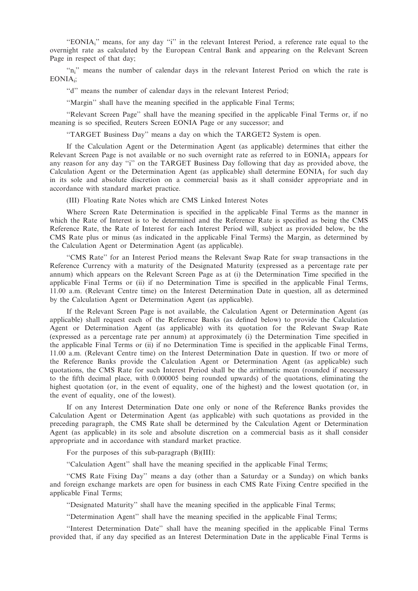"EONIA<sub>i</sub>" means, for any day "i" in the relevant Interest Period, a reference rate equal to the overnight rate as calculated by the European Central Bank and appearing on the Relevant Screen Page in respect of that day;

"n<sub>i</sub>" means the number of calendar days in the relevant Interest Period on which the rate is EONIAi;

''d'' means the number of calendar days in the relevant Interest Period;

''Margin'' shall have the meaning specified in the applicable Final Terms;

''Relevant Screen Page'' shall have the meaning specified in the applicable Final Terms or, if no meaning is so specified, Reuters Screen EONIA Page or any successor; and

''TARGET Business Day'' means a day on which the TARGET2 System is open.

If the Calculation Agent or the Determination Agent (as applicable) determines that either the Relevant Screen Page is not available or no such overnight rate as referred to in  $EONIA<sub>1</sub>$  appears for any reason for any day ''i'' on the TARGET Business Day following that day as provided above, the Calculation Agent or the Determination Agent (as applicable) shall determine  $EONIA<sub>1</sub>$  for such day in its sole and absolute discretion on a commercial basis as it shall consider appropriate and in accordance with standard market practice.

(III) Floating Rate Notes which are CMS Linked Interest Notes

Where Screen Rate Determination is specified in the applicable Final Terms as the manner in which the Rate of Interest is to be determined and the Reference Rate is specified as being the CMS Reference Rate, the Rate of Interest for each Interest Period will, subject as provided below, be the CMS Rate plus or minus (as indicated in the applicable Final Terms) the Margin, as determined by the Calculation Agent or Determination Agent (as applicable).

''CMS Rate'' for an Interest Period means the Relevant Swap Rate for swap transactions in the Reference Currency with a maturity of the Designated Maturity (expressed as a percentage rate per annum) which appears on the Relevant Screen Page as at (i) the Determination Time specified in the applicable Final Terms or (ii) if no Determination Time is specified in the applicable Final Terms, 11.00 a.m. (Relevant Centre time) on the Interest Determination Date in question, all as determined by the Calculation Agent or Determination Agent (as applicable).

If the Relevant Screen Page is not available, the Calculation Agent or Determination Agent (as applicable) shall request each of the Reference Banks (as defined below) to provide the Calculation Agent or Determination Agent (as applicable) with its quotation for the Relevant Swap Rate (expressed as a percentage rate per annum) at approximately (i) the Determination Time specified in the applicable Final Terms or (ii) if no Determination Time is specified in the applicable Final Terms, 11.00 a.m. (Relevant Centre time) on the Interest Determination Date in question. If two or more of the Reference Banks provide the Calculation Agent or Determination Agent (as applicable) such quotations, the CMS Rate for such Interest Period shall be the arithmetic mean (rounded if necessary to the fifth decimal place, with 0.000005 being rounded upwards) of the quotations, eliminating the highest quotation (or, in the event of equality, one of the highest) and the lowest quotation (or, in the event of equality, one of the lowest).

If on any Interest Determination Date one only or none of the Reference Banks provides the Calculation Agent or Determination Agent (as applicable) with such quotations as provided in the preceding paragraph, the CMS Rate shall be determined by the Calculation Agent or Determination Agent (as applicable) in its sole and absolute discretion on a commercial basis as it shall consider appropriate and in accordance with standard market practice.

For the purposes of this sub-paragraph (B)(III):

''Calculation Agent'' shall have the meaning specified in the applicable Final Terms;

''CMS Rate Fixing Day'' means a day (other than a Saturday or a Sunday) on which banks and foreign exchange markets are open for business in each CMS Rate Fixing Centre specified in the applicable Final Terms;

''Designated Maturity'' shall have the meaning specified in the applicable Final Terms;

''Determination Agent'' shall have the meaning specified in the applicable Final Terms;

''Interest Determination Date'' shall have the meaning specified in the applicable Final Terms provided that, if any day specified as an Interest Determination Date in the applicable Final Terms is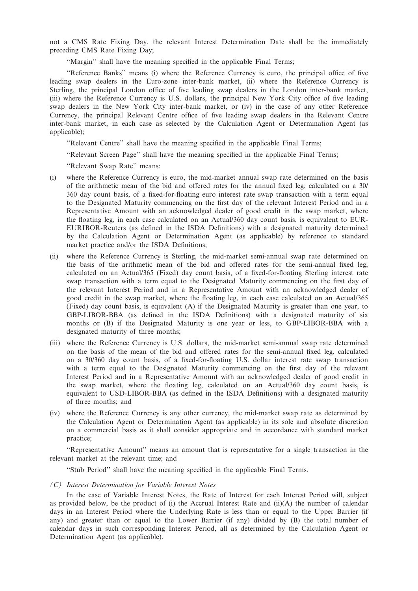not a CMS Rate Fixing Day, the relevant Interest Determination Date shall be the immediately preceding CMS Rate Fixing Day;

"Margin" shall have the meaning specified in the applicable Final Terms;

''Reference Banks'' means (i) where the Reference Currency is euro, the principal office of five leading swap dealers in the Euro-zone inter-bank market, (ii) where the Reference Currency is Sterling, the principal London office of five leading swap dealers in the London inter-bank market, (iii) where the Reference Currency is U.S. dollars, the principal New York City office of five leading swap dealers in the New York City inter-bank market, or (iv) in the case of any other Reference Currency, the principal Relevant Centre office of five leading swap dealers in the Relevant Centre inter-bank market, in each case as selected by the Calculation Agent or Determination Agent (as applicable);

''Relevant Centre'' shall have the meaning specified in the applicable Final Terms;

''Relevant Screen Page'' shall have the meaning specified in the applicable Final Terms;

''Relevant Swap Rate'' means:

- (i) where the Reference Currency is euro, the mid-market annual swap rate determined on the basis of the arithmetic mean of the bid and offered rates for the annual fixed leg, calculated on a 30/ 360 day count basis, of a fixed-for-floating euro interest rate swap transaction with a term equal to the Designated Maturity commencing on the first day of the relevant Interest Period and in a Representative Amount with an acknowledged dealer of good credit in the swap market, where the floating leg, in each case calculated on an Actual/360 day count basis, is equivalent to EUR-EURIBOR-Reuters (as defined in the ISDA Definitions) with a designated maturity determined by the Calculation Agent or Determination Agent (as applicable) by reference to standard market practice and/or the ISDA Definitions;
- (ii) where the Reference Currency is Sterling, the mid-market semi-annual swap rate determined on the basis of the arithmetic mean of the bid and offered rates for the semi-annual fixed leg, calculated on an Actual/365 (Fixed) day count basis, of a fixed-for-floating Sterling interest rate swap transaction with a term equal to the Designated Maturity commencing on the first day of the relevant Interest Period and in a Representative Amount with an acknowledged dealer of good credit in the swap market, where the floating leg, in each case calculated on an Actual/365 (Fixed) day count basis, is equivalent (A) if the Designated Maturity is greater than one year, to GBP-LIBOR-BBA (as defined in the ISDA Definitions) with a designated maturity of six months or (B) if the Designated Maturity is one year or less, to GBP-LIBOR-BBA with a designated maturity of three months;
- (iii) where the Reference Currency is U.S. dollars, the mid-market semi-annual swap rate determined on the basis of the mean of the bid and offered rates for the semi-annual fixed leg, calculated on a 30/360 day count basis, of a fixed-for-floating U.S. dollar interest rate swap transaction with a term equal to the Designated Maturity commencing on the first day of the relevant Interest Period and in a Representative Amount with an acknowledged dealer of good credit in the swap market, where the floating leg, calculated on an Actual/360 day count basis, is equivalent to USD-LIBOR-BBA (as defined in the ISDA Definitions) with a designated maturity of three months; and
- (iv) where the Reference Currency is any other currency, the mid-market swap rate as determined by the Calculation Agent or Determination Agent (as applicable) in its sole and absolute discretion on a commercial basis as it shall consider appropriate and in accordance with standard market practice;

''Representative Amount'' means an amount that is representative for a single transaction in the relevant market at the relevant time; and

''Stub Period'' shall have the meaning specified in the applicable Final Terms.

(C) Interest Determination for Variable Interest Notes

In the case of Variable Interest Notes, the Rate of Interest for each Interest Period will, subject as provided below, be the product of (i) the Accrual Interest Rate and (ii)(A) the number of calendar days in an Interest Period where the Underlying Rate is less than or equal to the Upper Barrier (if any) and greater than or equal to the Lower Barrier (if any) divided by (B) the total number of calendar days in such corresponding Interest Period, all as determined by the Calculation Agent or Determination Agent (as applicable).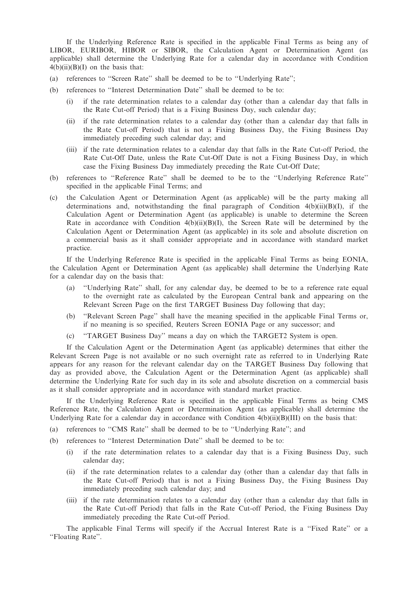If the Underlying Reference Rate is specified in the applicable Final Terms as being any of LIBOR, EURIBOR, HIBOR or SIBOR, the Calculation Agent or Determination Agent (as applicable) shall determine the Underlying Rate for a calendar day in accordance with Condition  $4(b)(ii)(B)(I)$  on the basis that:

- (a) references to ''Screen Rate'' shall be deemed to be to ''Underlying Rate'';
- (b) references to ''Interest Determination Date'' shall be deemed to be to:
	- (i) if the rate determination relates to a calendar day (other than a calendar day that falls in the Rate Cut-off Period) that is a Fixing Business Day, such calendar day;
	- (ii) if the rate determination relates to a calendar day (other than a calendar day that falls in the Rate Cut-off Period) that is not a Fixing Business Day, the Fixing Business Day immediately preceding such calendar day; and
	- (iii) if the rate determination relates to a calendar day that falls in the Rate Cut-off Period, the Rate Cut-Off Date, unless the Rate Cut-Off Date is not a Fixing Business Day, in which case the Fixing Business Day immediately preceding the Rate Cut-Off Date;
- (b) references to ''Reference Rate'' shall be deemed to be to the ''Underlying Reference Rate'' specified in the applicable Final Terms; and
- (c) the Calculation Agent or Determination Agent (as applicable) will be the party making all determinations and, notwithstanding the final paragraph of Condition  $4(b)(ii)(B)(I)$ , if the Calculation Agent or Determination Agent (as applicable) is unable to determine the Screen Rate in accordance with Condition  $4(b)(ii)(B)(I)$ , the Screen Rate will be determined by the Calculation Agent or Determination Agent (as applicable) in its sole and absolute discretion on a commercial basis as it shall consider appropriate and in accordance with standard market practice.

If the Underlying Reference Rate is specified in the applicable Final Terms as being EONIA, the Calculation Agent or Determination Agent (as applicable) shall determine the Underlying Rate for a calendar day on the basis that:

- (a) ''Underlying Rate'' shall, for any calendar day, be deemed to be to a reference rate equal to the overnight rate as calculated by the European Central bank and appearing on the Relevant Screen Page on the first TARGET Business Day following that day;
- (b) ''Relevant Screen Page'' shall have the meaning specified in the applicable Final Terms or, if no meaning is so specified, Reuters Screen EONIA Page or any successor; and
- (c) ''TARGET Business Day'' means a day on which the TARGET2 System is open.

If the Calculation Agent or the Determination Agent (as applicable) determines that either the Relevant Screen Page is not available or no such overnight rate as referred to in Underlying Rate appears for any reason for the relevant calendar day on the TARGET Business Day following that day as provided above, the Calculation Agent or the Determination Agent (as applicable) shall determine the Underlying Rate for such day in its sole and absolute discretion on a commercial basis as it shall consider appropriate and in accordance with standard market practice.

If the Underlying Reference Rate is specified in the applicable Final Terms as being CMS Reference Rate, the Calculation Agent or Determination Agent (as applicable) shall determine the Underlying Rate for a calendar day in accordance with Condition  $4(b)(ii)(B)(III)$  on the basis that:

- (a) references to ''CMS Rate'' shall be deemed to be to ''Underlying Rate''; and
- (b) references to ''Interest Determination Date'' shall be deemed to be to:
	- (i) if the rate determination relates to a calendar day that is a Fixing Business Day, such calendar day;
	- (ii) if the rate determination relates to a calendar day (other than a calendar day that falls in the Rate Cut-off Period) that is not a Fixing Business Day, the Fixing Business Day immediately preceding such calendar day; and
	- (iii) if the rate determination relates to a calendar day (other than a calendar day that falls in the Rate Cut-off Period) that falls in the Rate Cut-off Period, the Fixing Business Day immediately preceding the Rate Cut-off Period.

The applicable Final Terms will specify if the Accrual Interest Rate is a ''Fixed Rate'' or a ''Floating Rate''.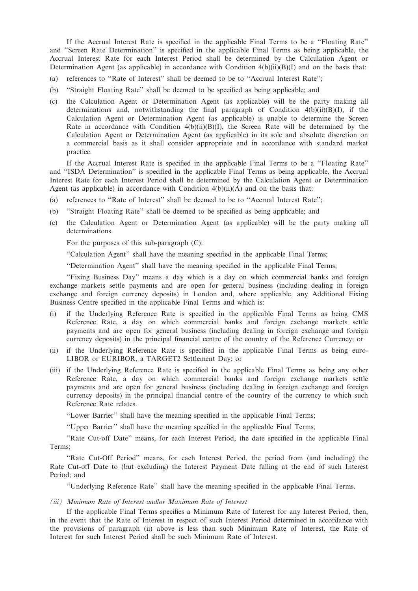If the Accrual Interest Rate is specified in the applicable Final Terms to be a ''Floating Rate'' and ''Screen Rate Determination'' is specified in the applicable Final Terms as being applicable, the Accrual Interest Rate for each Interest Period shall be determined by the Calculation Agent or Determination Agent (as applicable) in accordance with Condition  $4(b)(ii)(B)(I)$  and on the basis that:

- (a) references to ''Rate of Interest'' shall be deemed to be to ''Accrual Interest Rate'';
- (b) ''Straight Floating Rate'' shall be deemed to be specified as being applicable; and
- (c) the Calculation Agent or Determination Agent (as applicable) will be the party making all determinations and, notwithstanding the final paragraph of Condition  $4(b)(ii)(B)(I)$ , if the Calculation Agent or Determination Agent (as applicable) is unable to determine the Screen Rate in accordance with Condition  $4(b)(ii)(B)(I)$ , the Screen Rate will be determined by the Calculation Agent or Determination Agent (as applicable) in its sole and absolute discretion on a commercial basis as it shall consider appropriate and in accordance with standard market practice.

If the Accrual Interest Rate is specified in the applicable Final Terms to be a ''Floating Rate'' and ''ISDA Determination'' is specified in the applicable Final Terms as being applicable, the Accrual Interest Rate for each Interest Period shall be determined by the Calculation Agent or Determination Agent (as applicable) in accordance with Condition  $4(b)(ii)(A)$  and on the basis that:

- (a) references to ''Rate of Interest'' shall be deemed to be to ''Accrual Interest Rate'';
- (b) ''Straight Floating Rate'' shall be deemed to be specified as being applicable; and
- (c) the Calculation Agent or Determination Agent (as applicable) will be the party making all determinations.

For the purposes of this sub-paragraph (C):

''Calculation Agent'' shall have the meaning specified in the applicable Final Terms;

''Determination Agent'' shall have the meaning specified in the applicable Final Terms;

''Fixing Business Day'' means a day which is a day on which commercial banks and foreign exchange markets settle payments and are open for general business (including dealing in foreign exchange and foreign currency deposits) in London and, where applicable, any Additional Fixing Business Centre specified in the applicable Final Terms and which is:

- (i) if the Underlying Reference Rate is specified in the applicable Final Terms as being CMS Reference Rate, a day on which commercial banks and foreign exchange markets settle payments and are open for general business (including dealing in foreign exchange and foreign currency deposits) in the principal financial centre of the country of the Reference Currency; or
- (ii) if the Underlying Reference Rate is specified in the applicable Final Terms as being euro-LIBOR or EURIBOR, a TARGET2 Settlement Day; or
- (iii) if the Underlying Reference Rate is specified in the applicable Final Terms as being any other Reference Rate, a day on which commercial banks and foreign exchange markets settle payments and are open for general business (including dealing in foreign exchange and foreign currency deposits) in the principal financial centre of the country of the currency to which such Reference Rate relates.

''Lower Barrier'' shall have the meaning specified in the applicable Final Terms;

''Upper Barrier'' shall have the meaning specified in the applicable Final Terms;

''Rate Cut-off Date'' means, for each Interest Period, the date specified in the applicable Final Terms;

''Rate Cut-Off Period'' means, for each Interest Period, the period from (and including) the Rate Cut-off Date to (but excluding) the Interest Payment Date falling at the end of such Interest Period; and

''Underlying Reference Rate'' shall have the meaning specified in the applicable Final Terms.

#### (iii) Minimum Rate of Interest and/or Maximum Rate of Interest

If the applicable Final Terms specifies a Minimum Rate of Interest for any Interest Period, then, in the event that the Rate of Interest in respect of such Interest Period determined in accordance with the provisions of paragraph (ii) above is less than such Minimum Rate of Interest, the Rate of Interest for such Interest Period shall be such Minimum Rate of Interest.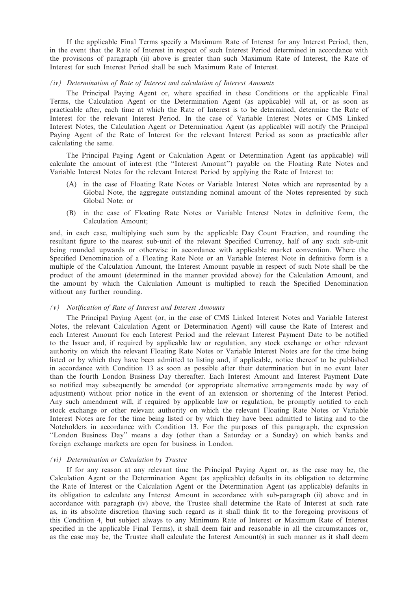If the applicable Final Terms specify a Maximum Rate of Interest for any Interest Period, then, in the event that the Rate of Interest in respect of such Interest Period determined in accordance with the provisions of paragraph (ii) above is greater than such Maximum Rate of Interest, the Rate of Interest for such Interest Period shall be such Maximum Rate of Interest.

## (iv) Determination of Rate of Interest and calculation of Interest Amounts

The Principal Paying Agent or, where specified in these Conditions or the applicable Final Terms, the Calculation Agent or the Determination Agent (as applicable) will at, or as soon as practicable after, each time at which the Rate of Interest is to be determined, determine the Rate of Interest for the relevant Interest Period. In the case of Variable Interest Notes or CMS Linked Interest Notes, the Calculation Agent or Determination Agent (as applicable) will notify the Principal Paying Agent of the Rate of Interest for the relevant Interest Period as soon as practicable after calculating the same.

The Principal Paying Agent or Calculation Agent or Determination Agent (as applicable) will calculate the amount of interest (the ''Interest Amount'') payable on the Floating Rate Notes and Variable Interest Notes for the relevant Interest Period by applying the Rate of Interest to:

- (A) in the case of Floating Rate Notes or Variable Interest Notes which are represented by a Global Note, the aggregate outstanding nominal amount of the Notes represented by such Global Note; or
- (B) in the case of Floating Rate Notes or Variable Interest Notes in definitive form, the Calculation Amount;

and, in each case, multiplying such sum by the applicable Day Count Fraction, and rounding the resultant figure to the nearest sub-unit of the relevant Specified Currency, half of any such sub-unit being rounded upwards or otherwise in accordance with applicable market convention. Where the Specified Denomination of a Floating Rate Note or an Variable Interest Note in definitive form is a multiple of the Calculation Amount, the Interest Amount payable in respect of such Note shall be the product of the amount (determined in the manner provided above) for the Calculation Amount, and the amount by which the Calculation Amount is multiplied to reach the Specified Denomination without any further rounding.

## (v) Notification of Rate of Interest and Interest Amounts

The Principal Paying Agent (or, in the case of CMS Linked Interest Notes and Variable Interest Notes, the relevant Calculation Agent or Determination Agent) will cause the Rate of Interest and each Interest Amount for each Interest Period and the relevant Interest Payment Date to be notified to the Issuer and, if required by applicable law or regulation, any stock exchange or other relevant authority on which the relevant Floating Rate Notes or Variable Interest Notes are for the time being listed or by which they have been admitted to listing and, if applicable, notice thereof to be published in accordance with Condition 13 as soon as possible after their determination but in no event later than the fourth London Business Day thereafter. Each Interest Amount and Interest Payment Date so notified may subsequently be amended (or appropriate alternative arrangements made by way of adjustment) without prior notice in the event of an extension or shortening of the Interest Period. Any such amendment will, if required by applicable law or regulation, be promptly notified to each stock exchange or other relevant authority on which the relevant Floating Rate Notes or Variable Interest Notes are for the time being listed or by which they have been admitted to listing and to the Noteholders in accordance with Condition 13. For the purposes of this paragraph, the expression ''London Business Day'' means a day (other than a Saturday or a Sunday) on which banks and foreign exchange markets are open for business in London.

## (vi) Determination or Calculation by Trustee

If for any reason at any relevant time the Principal Paying Agent or, as the case may be, the Calculation Agent or the Determination Agent (as applicable) defaults in its obligation to determine the Rate of Interest or the Calculation Agent or the Determination Agent (as applicable) defaults in its obligation to calculate any Interest Amount in accordance with sub-paragraph (ii) above and in accordance with paragraph (iv) above, the Trustee shall determine the Rate of Interest at such rate as, in its absolute discretion (having such regard as it shall think fit to the foregoing provisions of this Condition 4, but subject always to any Minimum Rate of Interest or Maximum Rate of Interest specified in the applicable Final Terms), it shall deem fair and reasonable in all the circumstances or, as the case may be, the Trustee shall calculate the Interest Amount(s) in such manner as it shall deem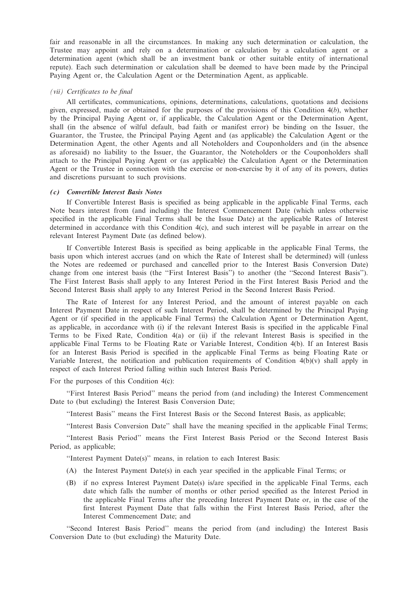fair and reasonable in all the circumstances. In making any such determination or calculation, the Trustee may appoint and rely on a determination or calculation by a calculation agent or a determination agent (which shall be an investment bank or other suitable entity of international repute). Each such determination or calculation shall be deemed to have been made by the Principal Paying Agent or, the Calculation Agent or the Determination Agent, as applicable.

#### (vii) Certificates to be final

All certificates, communications, opinions, determinations, calculations, quotations and decisions given, expressed, made or obtained for the purposes of the provisions of this Condition  $4(b)$ , whether by the Principal Paying Agent or, if applicable, the Calculation Agent or the Determination Agent, shall (in the absence of wilful default, bad faith or manifest error) be binding on the Issuer, the Guarantor, the Trustee, the Principal Paying Agent and (as applicable) the Calculation Agent or the Determination Agent, the other Agents and all Noteholders and Couponholders and (in the absence as aforesaid) no liability to the Issuer, the Guarantor, the Noteholders or the Couponholders shall attach to the Principal Paying Agent or (as applicable) the Calculation Agent or the Determination Agent or the Trustee in connection with the exercise or non-exercise by it of any of its powers, duties and discretions pursuant to such provisions.

### (c) Convertible Interest Basis Notes

If Convertible Interest Basis is specified as being applicable in the applicable Final Terms, each Note bears interest from (and including) the Interest Commencement Date (which unless otherwise specified in the applicable Final Terms shall be the Issue Date) at the applicable Rates of Interest determined in accordance with this Condition 4(c), and such interest will be payable in arrear on the relevant Interest Payment Date (as defined below).

If Convertible Interest Basis is specified as being applicable in the applicable Final Terms, the basis upon which interest accrues (and on which the Rate of Interest shall be determined) will (unless the Notes are redeemed or purchased and cancelled prior to the Interest Basis Conversion Date) change from one interest basis (the ''First Interest Basis'') to another (the ''Second Interest Basis''). The First Interest Basis shall apply to any Interest Period in the First Interest Basis Period and the Second Interest Basis shall apply to any Interest Period in the Second Interest Basis Period.

The Rate of Interest for any Interest Period, and the amount of interest payable on each Interest Payment Date in respect of such Interest Period, shall be determined by the Principal Paying Agent or (if specified in the applicable Final Terms) the Calculation Agent or Determination Agent, as applicable, in accordance with (i) if the relevant Interest Basis is specified in the applicable Final Terms to be Fixed Rate, Condition 4(a) or (ii) if the relevant Interest Basis is specified in the applicable Final Terms to be Floating Rate or Variable Interest, Condition 4(b). If an Interest Basis for an Interest Basis Period is specified in the applicable Final Terms as being Floating Rate or Variable Interest, the notification and publication requirements of Condition  $4(b)(v)$  shall apply in respect of each Interest Period falling within such Interest Basis Period.

For the purposes of this Condition 4(c):

''First Interest Basis Period'' means the period from (and including) the Interest Commencement Date to (but excluding) the Interest Basis Conversion Date;

''Interest Basis'' means the First Interest Basis or the Second Interest Basis, as applicable;

''Interest Basis Conversion Date'' shall have the meaning specified in the applicable Final Terms;

''Interest Basis Period'' means the First Interest Basis Period or the Second Interest Basis Period, as applicable;

''Interest Payment Date(s)'' means, in relation to each Interest Basis:

- (A) the Interest Payment Date(s) in each year specified in the applicable Final Terms; or
- (B) if no express Interest Payment Date(s) is/are specified in the applicable Final Terms, each date which falls the number of months or other period specified as the Interest Period in the applicable Final Terms after the preceding Interest Payment Date or, in the case of the first Interest Payment Date that falls within the First Interest Basis Period, after the Interest Commencement Date; and

"Second Interest Basis Period" means the period from (and including) the Interest Basis Conversion Date to (but excluding) the Maturity Date.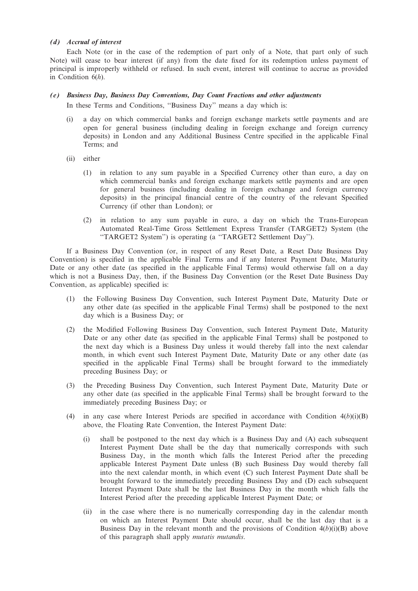## (d) Accrual of interest

Each Note (or in the case of the redemption of part only of a Note, that part only of such Note) will cease to bear interest (if any) from the date fixed for its redemption unless payment of principal is improperly withheld or refused. In such event, interest will continue to accrue as provided in Condition  $6(h)$ .

### (e) Business Day, Business Day Conventions, Day Count Fractions and other adjustments

In these Terms and Conditions, ''Business Day'' means a day which is:

- (i) a day on which commercial banks and foreign exchange markets settle payments and are open for general business (including dealing in foreign exchange and foreign currency deposits) in London and any Additional Business Centre specified in the applicable Final Terms; and
- (ii) either
	- (1) in relation to any sum payable in a Specified Currency other than euro, a day on which commercial banks and foreign exchange markets settle payments and are open for general business (including dealing in foreign exchange and foreign currency deposits) in the principal financial centre of the country of the relevant Specified Currency (if other than London); or
	- (2) in relation to any sum payable in euro, a day on which the Trans-European Automated Real-Time Gross Settlement Express Transfer (TARGET2) System (the ''TARGET2 System'') is operating (a ''TARGET2 Settlement Day'').

If a Business Day Convention (or, in respect of any Reset Date, a Reset Date Business Day Convention) is specified in the applicable Final Terms and if any Interest Payment Date, Maturity Date or any other date (as specified in the applicable Final Terms) would otherwise fall on a day which is not a Business Day, then, if the Business Day Convention (or the Reset Date Business Day Convention, as applicable) specified is:

- (1) the Following Business Day Convention, such Interest Payment Date, Maturity Date or any other date (as specified in the applicable Final Terms) shall be postponed to the next day which is a Business Day; or
- (2) the Modified Following Business Day Convention, such Interest Payment Date, Maturity Date or any other date (as specified in the applicable Final Terms) shall be postponed to the next day which is a Business Day unless it would thereby fall into the next calendar month, in which event such Interest Payment Date, Maturity Date or any other date (as specified in the applicable Final Terms) shall be brought forward to the immediately preceding Business Day; or
- (3) the Preceding Business Day Convention, such Interest Payment Date, Maturity Date or any other date (as specified in the applicable Final Terms) shall be brought forward to the immediately preceding Business Day; or
- (4) in any case where Interest Periods are specified in accordance with Condition  $4(b)(i)(B)$ above, the Floating Rate Convention, the Interest Payment Date:
	- (i) shall be postponed to the next day which is a Business Day and (A) each subsequent Interest Payment Date shall be the day that numerically corresponds with such Business Day, in the month which falls the Interest Period after the preceding applicable Interest Payment Date unless (B) such Business Day would thereby fall into the next calendar month, in which event (C) such Interest Payment Date shall be brought forward to the immediately preceding Business Day and (D) each subsequent Interest Payment Date shall be the last Business Day in the month which falls the Interest Period after the preceding applicable Interest Payment Date; or
	- (ii) in the case where there is no numerically corresponding day in the calendar month on which an Interest Payment Date should occur, shall be the last day that is a Business Day in the relevant month and the provisions of Condition  $4(b)(i)(B)$  above of this paragraph shall apply mutatis mutandis.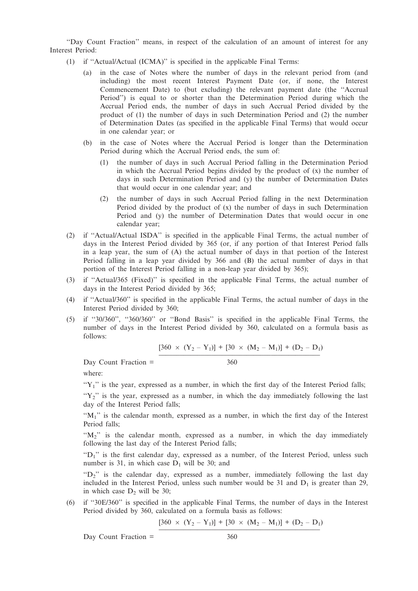''Day Count Fraction'' means, in respect of the calculation of an amount of interest for any Interest Period:

- (1) if ''Actual/Actual (ICMA)'' is specified in the applicable Final Terms:
	- (a) in the case of Notes where the number of days in the relevant period from (and including) the most recent Interest Payment Date (or, if none, the Interest Commencement Date) to (but excluding) the relevant payment date (the ''Accrual Period'') is equal to or shorter than the Determination Period during which the Accrual Period ends, the number of days in such Accrual Period divided by the product of (1) the number of days in such Determination Period and (2) the number of Determination Dates (as specified in the applicable Final Terms) that would occur in one calendar year; or
	- (b) in the case of Notes where the Accrual Period is longer than the Determination Period during which the Accrual Period ends, the sum of:
		- (1) the number of days in such Accrual Period falling in the Determination Period in which the Accrual Period begins divided by the product of  $(x)$  the number of days in such Determination Period and (y) the number of Determination Dates that would occur in one calendar year; and
		- (2) the number of days in such Accrual Period falling in the next Determination Period divided by the product of (x) the number of days in such Determination Period and (y) the number of Determination Dates that would occur in one calendar year;
- (2) if ''Actual/Actual ISDA'' is specified in the applicable Final Terms, the actual number of days in the Interest Period divided by 365 (or, if any portion of that Interest Period falls in a leap year, the sum of (A) the actual number of days in that portion of the Interest Period falling in a leap year divided by 366 and (B) the actual number of days in that portion of the Interest Period falling in a non-leap year divided by 365);
- (3) if ''Actual/365 (Fixed)'' is specified in the applicable Final Terms, the actual number of days in the Interest Period divided by 365;
- (4) if ''Actual/360'' is specified in the applicable Final Terms, the actual number of days in the Interest Period divided by 360;
- (5) if ''30/360'', ''360/360'' or ''Bond Basis'' is specified in the applicable Final Terms, the number of days in the Interest Period divided by 360, calculated on a formula basis as follows:

$$
[360 \times (Y_2 - Y_1)] + [30 \times (M_2 - M_1)] + (D_2 - D_1)
$$

 $Day$  Count Fraction  $=$  360

where:

 $Y_1$ " is the year, expressed as a number, in which the first day of the Interest Period falls;

 $Y_2$ " is the year, expressed as a number, in which the day immediately following the last day of the Interest Period falls;

"M<sub>1</sub>" is the calendar month, expressed as a number, in which the first day of the Interest Period falls;

 $(M_2)$  is the calendar month, expressed as a number, in which the day immediately following the last day of the Interest Period falls;

" $D_1$ " is the first calendar day, expressed as a number, of the Interest Period, unless such number is 31, in which case  $D_1$  will be 30; and

"D<sub>2</sub>" is the calendar day, expressed as a number, immediately following the last day included in the Interest Period, unless such number would be 31 and  $D_1$  is greater than 29, in which case  $D_2$  will be 30;

(6) if ''30E/360'' is specified in the applicable Final Terms, the number of days in the Interest Period divided by 360, calculated on a formula basis as follows:

$$
[360 \times (Y_2 - Y_1)] + [30 \times (M_2 - M_1)] + (D_2 - D_1)
$$

Day Count Fraction = 360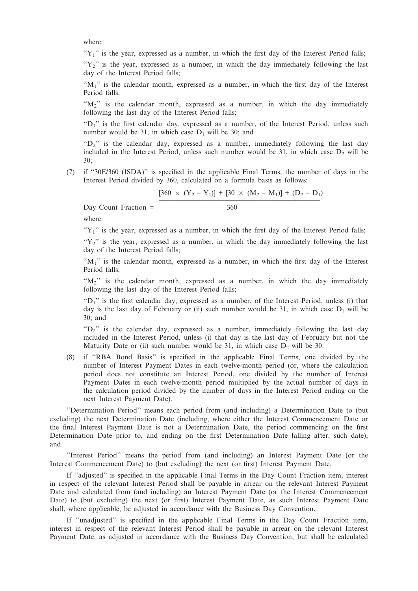where:

 $Y_1$ " is the year, expressed as a number, in which the first day of the Interest Period falls;

" $Y_2$ " is the year, expressed as a number, in which the day immediately following the last day of the Interest Period falls;

" $M_1$ " is the calendar month, expressed as a number, in which the first day of the Interest Period falls;

" $M_2$ " is the calendar month, expressed as a number, in which the day immediately following the last day of the Interest Period falls;

" $D_1$ " is the first calendar day, expressed as a number, of the Interest Period, unless such number would be 31, in which case  $D_1$  will be 30; and

 $P^{\prime\prime}$  is the calendar day, expressed as a number, immediately following the last day included in the Interest Period, unless such number would be 31, in which case  $D_2$  will be 30;

(7) if ''30E/360 (ISDA)'' is specified in the applicable Final Terms, the number of days in the Interest Period divided by 360, calculated on a formula basis as follows:

 $[360 \times (Y_2 - Y_1)] + [30 \times (M_2 - M_1)] + (D_2 - D_1)$ 

Day Count Fraction = 360

where:

 $Y_1$ " is the year, expressed as a number, in which the first day of the Interest Period falls;

" $Y_2$ " is the year, expressed as a number, in which the day immediately following the last day of the Interest Period falls;

" $M_1$ " is the calendar month, expressed as a number, in which the first day of the Interest Period falls;

 $M_2$ " is the calendar month, expressed as a number, in which the day immediately following the last day of the Interest Period falls;

" $D_1$ " is the first calendar day, expressed as a number, of the Interest Period, unless (i) that day is the last day of February or (ii) such number would be 31, in which case  $D_1$  will be 30; and

" $D_2$ " is the calendar day, expressed as a number, immediately following the last day included in the Interest Period, unless (i) that day is the last day of February but not the Maturity Date or (ii) such number would be 31, in which case  $D_2$  will be 30.

(8) if ''RBA Bond Basis'' is specified in the applicable Final Terms, one divided by the number of Interest Payment Dates in each twelve-month period (or, where the calculation period does not constitute an Interest Period, one divided by the number of Interest Payment Dates in each twelve-month period multiplied by the actual number of days in the calculation period divided by the number of days in the Interest Period ending on the next Interest Payment Date).

''Determination Period'' means each period from (and including) a Determination Date to (but excluding) the next Determination Date (including, where either the Interest Commencement Date or the final Interest Payment Date is not a Determination Date, the period commencing on the first Determination Date prior to, and ending on the first Determination Date falling after, such date); and

''Interest Period'' means the period from (and including) an Interest Payment Date (or the Interest Commencement Date) to (but excluding) the next (or first) Interest Payment Date.

If ''adjusted'' is specified in the applicable Final Terms in the Day Count Fraction item, interest in respect of the relevant Interest Period shall be payable in arrear on the relevant Interest Payment Date and calculated from (and including) an Interest Payment Date (or the Interest Commencement Date) to (but excluding) the next (or first) Interest Payment Date, as such Interest Payment Date shall, where applicable, be adjusted in accordance with the Business Day Convention.

If ''unadjusted'' is specified in the applicable Final Terms in the Day Count Fraction item, interest in respect of the relevant Interest Period shall be payable in arrear on the relevant Interest Payment Date, as adjusted in accordance with the Business Day Convention, but shall be calculated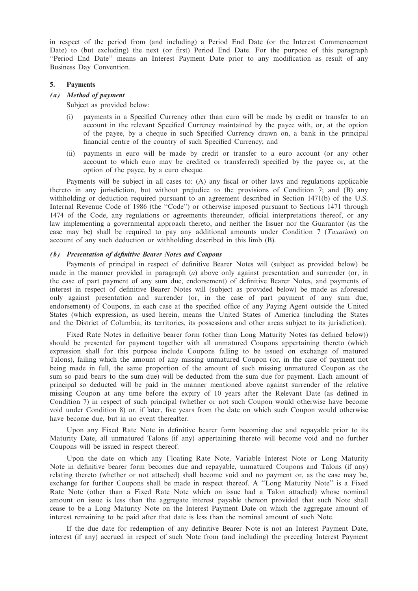in respect of the period from (and including) a Period End Date (or the Interest Commencement Date) to (but excluding) the next (or first) Period End Date. For the purpose of this paragraph ''Period End Date'' means an Interest Payment Date prior to any modification as result of any Business Day Convention.

#### 5. Payments

## (a) Method of payment

Subject as provided below:

- (i) payments in a Specified Currency other than euro will be made by credit or transfer to an account in the relevant Specified Currency maintained by the payee with, or, at the option of the payee, by a cheque in such Specified Currency drawn on, a bank in the principal financial centre of the country of such Specified Currency; and
- (ii) payments in euro will be made by credit or transfer to a euro account (or any other account to which euro may be credited or transferred) specified by the payee or, at the option of the payee, by a euro cheque.

Payments will be subject in all cases to: (A) any fiscal or other laws and regulations applicable thereto in any jurisdiction, but without prejudice to the provisions of Condition 7; and (B) any withholding or deduction required pursuant to an agreement described in Section 1471(b) of the U.S. Internal Revenue Code of 1986 (the ''Code'') or otherwise imposed pursuant to Sections 1471 through 1474 of the Code, any regulations or agreements thereunder, official interpretations thereof, or any law implementing a governmental approach thereto, and neither the Issuer nor the Guarantor (as the case may be) shall be required to pay any additional amounts under Condition 7 (Taxation) on account of any such deduction or withholding described in this limb (B).

#### (b) Presentation of definitive Bearer Notes and Coupons

Payments of principal in respect of definitive Bearer Notes will (subject as provided below) be made in the manner provided in paragraph (a) above only against presentation and surrender (or, in the case of part payment of any sum due, endorsement) of definitive Bearer Notes, and payments of interest in respect of definitive Bearer Notes will (subject as provided below) be made as aforesaid only against presentation and surrender (or, in the case of part payment of any sum due, endorsement) of Coupons, in each case at the specified office of any Paying Agent outside the United States (which expression, as used herein, means the United States of America (including the States and the District of Columbia, its territories, its possessions and other areas subject to its jurisdiction).

Fixed Rate Notes in definitive bearer form (other than Long Maturity Notes (as defined below)) should be presented for payment together with all unmatured Coupons appertaining thereto (which expression shall for this purpose include Coupons falling to be issued on exchange of matured Talons), failing which the amount of any missing unmatured Coupon (or, in the case of payment not being made in full, the same proportion of the amount of such missing unmatured Coupon as the sum so paid bears to the sum due) will be deducted from the sum due for payment. Each amount of principal so deducted will be paid in the manner mentioned above against surrender of the relative missing Coupon at any time before the expiry of 10 years after the Relevant Date (as defined in Condition 7) in respect of such principal (whether or not such Coupon would otherwise have become void under Condition 8) or, if later, five years from the date on which such Coupon would otherwise have become due, but in no event thereafter.

Upon any Fixed Rate Note in definitive bearer form becoming due and repayable prior to its Maturity Date, all unmatured Talons (if any) appertaining thereto will become void and no further Coupons will be issued in respect thereof.

Upon the date on which any Floating Rate Note, Variable Interest Note or Long Maturity Note in definitive bearer form becomes due and repayable, unmatured Coupons and Talons (if any) relating thereto (whether or not attached) shall become void and no payment or, as the case may be, exchange for further Coupons shall be made in respect thereof. A ''Long Maturity Note'' is a Fixed Rate Note (other than a Fixed Rate Note which on issue had a Talon attached) whose nominal amount on issue is less than the aggregate interest payable thereon provided that such Note shall cease to be a Long Maturity Note on the Interest Payment Date on which the aggregate amount of interest remaining to be paid after that date is less than the nominal amount of such Note.

If the due date for redemption of any definitive Bearer Note is not an Interest Payment Date, interest (if any) accrued in respect of such Note from (and including) the preceding Interest Payment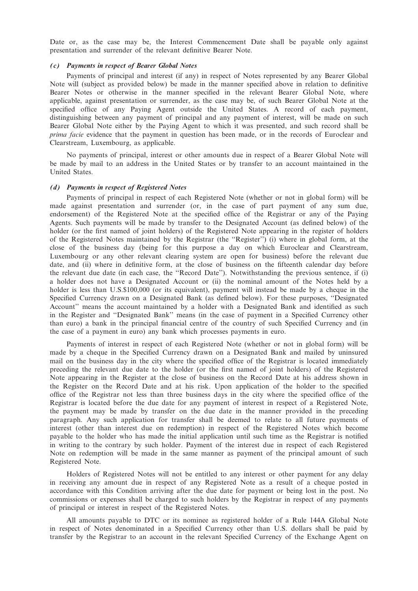Date or, as the case may be, the Interest Commencement Date shall be payable only against presentation and surrender of the relevant definitive Bearer Note.

### (c) Payments in respect of Bearer Global Notes

Payments of principal and interest (if any) in respect of Notes represented by any Bearer Global Note will (subject as provided below) be made in the manner specified above in relation to definitive Bearer Notes or otherwise in the manner specified in the relevant Bearer Global Note, where applicable, against presentation or surrender, as the case may be, of such Bearer Global Note at the specified office of any Paying Agent outside the United States. A record of each payment, distinguishing between any payment of principal and any payment of interest, will be made on such Bearer Global Note either by the Paying Agent to which it was presented, and such record shall be prima facie evidence that the payment in question has been made, or in the records of Euroclear and Clearstream, Luxembourg, as applicable.

No payments of principal, interest or other amounts due in respect of a Bearer Global Note will be made by mail to an address in the United States or by transfer to an account maintained in the United States.

#### (d) Payments in respect of Registered Notes

Payments of principal in respect of each Registered Note (whether or not in global form) will be made against presentation and surrender (or, in the case of part payment of any sum due, endorsement) of the Registered Note at the specified office of the Registrar or any of the Paying Agents. Such payments will be made by transfer to the Designated Account (as defined below) of the holder (or the first named of joint holders) of the Registered Note appearing in the register of holders of the Registered Notes maintained by the Registrar (the ''Register'') (i) where in global form, at the close of the business day (being for this purpose a day on which Euroclear and Clearstream, Luxembourg or any other relevant clearing system are open for business) before the relevant due date, and (ii) where in definitive form, at the close of business on the fifteenth calendar day before the relevant due date (in each case, the ''Record Date''). Notwithstanding the previous sentence, if (i) a holder does not have a Designated Account or (ii) the nominal amount of the Notes held by a holder is less than U.S.\$100,000 (or its equivalent), payment will instead be made by a cheque in the Specified Currency drawn on a Designated Bank (as defined below). For these purposes, ''Designated Account'' means the account maintained by a holder with a Designated Bank and identified as such in the Register and ''Designated Bank'' means (in the case of payment in a Specified Currency other than euro) a bank in the principal financial centre of the country of such Specified Currency and (in the case of a payment in euro) any bank which processes payments in euro.

Payments of interest in respect of each Registered Note (whether or not in global form) will be made by a cheque in the Specified Currency drawn on a Designated Bank and mailed by uninsured mail on the business day in the city where the specified office of the Registrar is located immediately preceding the relevant due date to the holder (or the first named of joint holders) of the Registered Note appearing in the Register at the close of business on the Record Date at his address shown in the Register on the Record Date and at his risk. Upon application of the holder to the specified office of the Registrar not less than three business days in the city where the specified office of the Registrar is located before the due date for any payment of interest in respect of a Registered Note, the payment may be made by transfer on the due date in the manner provided in the preceding paragraph. Any such application for transfer shall be deemed to relate to all future payments of interest (other than interest due on redemption) in respect of the Registered Notes which become payable to the holder who has made the initial application until such time as the Registrar is notified in writing to the contrary by such holder. Payment of the interest due in respect of each Registered Note on redemption will be made in the same manner as payment of the principal amount of such Registered Note.

Holders of Registered Notes will not be entitled to any interest or other payment for any delay in receiving any amount due in respect of any Registered Note as a result of a cheque posted in accordance with this Condition arriving after the due date for payment or being lost in the post. No commissions or expenses shall be charged to such holders by the Registrar in respect of any payments of principal or interest in respect of the Registered Notes.

All amounts payable to DTC or its nominee as registered holder of a Rule 144A Global Note in respect of Notes denominated in a Specified Currency other than U.S. dollars shall be paid by transfer by the Registrar to an account in the relevant Specified Currency of the Exchange Agent on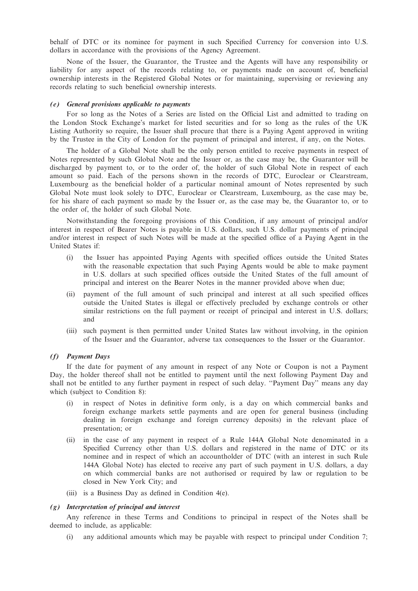behalf of DTC or its nominee for payment in such Specified Currency for conversion into U.S. dollars in accordance with the provisions of the Agency Agreement.

None of the Issuer, the Guarantor, the Trustee and the Agents will have any responsibility or liability for any aspect of the records relating to, or payments made on account of, beneficial ownership interests in the Registered Global Notes or for maintaining, supervising or reviewing any records relating to such beneficial ownership interests.

#### (e) General provisions applicable to payments

For so long as the Notes of a Series are listed on the Official List and admitted to trading on the London Stock Exchange's market for listed securities and for so long as the rules of the UK Listing Authority so require, the Issuer shall procure that there is a Paying Agent approved in writing by the Trustee in the City of London for the payment of principal and interest, if any, on the Notes.

The holder of a Global Note shall be the only person entitled to receive payments in respect of Notes represented by such Global Note and the Issuer or, as the case may be, the Guarantor will be discharged by payment to, or to the order of, the holder of such Global Note in respect of each amount so paid. Each of the persons shown in the records of DTC, Euroclear or Clearstream, Luxembourg as the beneficial holder of a particular nominal amount of Notes represented by such Global Note must look solely to DTC, Euroclear or Clearstream, Luxembourg, as the case may be, for his share of each payment so made by the Issuer or, as the case may be, the Guarantor to, or to the order of, the holder of such Global Note.

Notwithstanding the foregoing provisions of this Condition, if any amount of principal and/or interest in respect of Bearer Notes is payable in U.S. dollars, such U.S. dollar payments of principal and/or interest in respect of such Notes will be made at the specified office of a Paying Agent in the United States if:

- (i) the Issuer has appointed Paying Agents with specified offices outside the United States with the reasonable expectation that such Paying Agents would be able to make payment in U.S. dollars at such specified offices outside the United States of the full amount of principal and interest on the Bearer Notes in the manner provided above when due;
- (ii) payment of the full amount of such principal and interest at all such specified offices outside the United States is illegal or effectively precluded by exchange controls or other similar restrictions on the full payment or receipt of principal and interest in U.S. dollars; and
- (iii) such payment is then permitted under United States law without involving, in the opinion of the Issuer and the Guarantor, adverse tax consequences to the Issuer or the Guarantor.

## (f) Payment Days

If the date for payment of any amount in respect of any Note or Coupon is not a Payment Day, the holder thereof shall not be entitled to payment until the next following Payment Day and shall not be entitled to any further payment in respect of such delay. ''Payment Day'' means any day which (subject to Condition 8):

- (i) in respect of Notes in definitive form only, is a day on which commercial banks and foreign exchange markets settle payments and are open for general business (including dealing in foreign exchange and foreign currency deposits) in the relevant place of presentation; or
- (ii) in the case of any payment in respect of a Rule 144A Global Note denominated in a Specified Currency other than U.S. dollars and registered in the name of DTC or its nominee and in respect of which an accountholder of DTC (with an interest in such Rule 144A Global Note) has elected to receive any part of such payment in U.S. dollars, a day on which commercial banks are not authorised or required by law or regulation to be closed in New York City; and
- (iii) is a Business Day as defined in Condition 4(e).

#### (g) Interpretation of principal and interest

Any reference in these Terms and Conditions to principal in respect of the Notes shall be deemed to include, as applicable:

(i) any additional amounts which may be payable with respect to principal under Condition 7;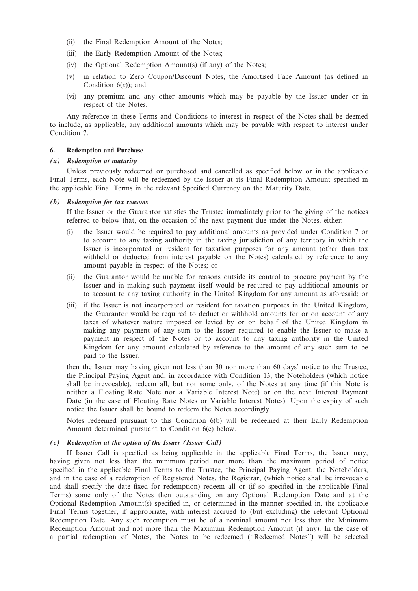- (ii) the Final Redemption Amount of the Notes;
- (iii) the Early Redemption Amount of the Notes;
- (iv) the Optional Redemption Amount(s) (if any) of the Notes;
- (v) in relation to Zero Coupon/Discount Notes, the Amortised Face Amount (as defined in Condition  $6(e)$ ; and
- (vi) any premium and any other amounts which may be payable by the Issuer under or in respect of the Notes.

Any reference in these Terms and Conditions to interest in respect of the Notes shall be deemed to include, as applicable, any additional amounts which may be payable with respect to interest under Condition 7.

## 6. Redemption and Purchase

#### (a) Redemption at maturity

Unless previously redeemed or purchased and cancelled as specified below or in the applicable Final Terms, each Note will be redeemed by the Issuer at its Final Redemption Amount specified in the applicable Final Terms in the relevant Specified Currency on the Maturity Date.

#### (b) Redemption for tax reasons

If the Issuer or the Guarantor satisfies the Trustee immediately prior to the giving of the notices referred to below that, on the occasion of the next payment due under the Notes, either:

- (i) the Issuer would be required to pay additional amounts as provided under Condition 7 or to account to any taxing authority in the taxing jurisdiction of any territory in which the Issuer is incorporated or resident for taxation purposes for any amount (other than tax withheld or deducted from interest payable on the Notes) calculated by reference to any amount payable in respect of the Notes; or
- (ii) the Guarantor would be unable for reasons outside its control to procure payment by the Issuer and in making such payment itself would be required to pay additional amounts or to account to any taxing authority in the United Kingdom for any amount as aforesaid; or
- (iii) if the Issuer is not incorporated or resident for taxation purposes in the United Kingdom, the Guarantor would be required to deduct or withhold amounts for or on account of any taxes of whatever nature imposed or levied by or on behalf of the United Kingdom in making any payment of any sum to the Issuer required to enable the Issuer to make a payment in respect of the Notes or to account to any taxing authority in the United Kingdom for any amount calculated by reference to the amount of any such sum to be paid to the Issuer,

then the Issuer may having given not less than 30 nor more than 60 days' notice to the Trustee, the Principal Paying Agent and, in accordance with Condition 13, the Noteholders (which notice shall be irrevocable), redeem all, but not some only, of the Notes at any time (if this Note is neither a Floating Rate Note nor a Variable Interest Note) or on the next Interest Payment Date (in the case of Floating Rate Notes or Variable Interest Notes). Upon the expiry of such notice the Issuer shall be bound to redeem the Notes accordingly.

Notes redeemed pursuant to this Condition 6(b) will be redeemed at their Early Redemption Amount determined pursuant to Condition 6(e) below.

#### (c) Redemption at the option of the Issuer (Issuer Call)

If Issuer Call is specified as being applicable in the applicable Final Terms, the Issuer may, having given not less than the minimum period nor more than the maximum period of notice specified in the applicable Final Terms to the Trustee, the Principal Paying Agent, the Noteholders, and in the case of a redemption of Registered Notes, the Registrar, (which notice shall be irrevocable and shall specify the date fixed for redemption) redeem all or (if so specified in the applicable Final Terms) some only of the Notes then outstanding on any Optional Redemption Date and at the Optional Redemption Amount(s) specified in, or determined in the manner specified in, the applicable Final Terms together, if appropriate, with interest accrued to (but excluding) the relevant Optional Redemption Date. Any such redemption must be of a nominal amount not less than the Minimum Redemption Amount and not more than the Maximum Redemption Amount (if any). In the case of a partial redemption of Notes, the Notes to be redeemed (''Redeemed Notes'') will be selected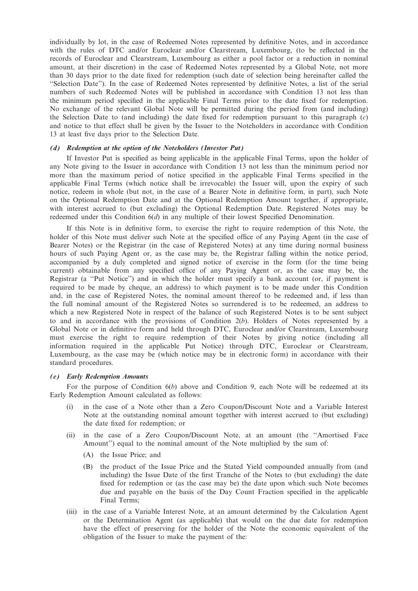individually by lot, in the case of Redeemed Notes represented by definitive Notes, and in accordance with the rules of DTC and/or Euroclear and/or Clearstream, Luxembourg, (to be reflected in the records of Euroclear and Clearstream, Luxembourg as either a pool factor or a reduction in nominal amount, at their discretion) in the case of Redeemed Notes represented by a Global Note, not more than 30 days prior to the date fixed for redemption (such date of selection being hereinafter called the ''Selection Date''). In the case of Redeemed Notes represented by definitive Notes, a list of the serial numbers of such Redeemed Notes will be published in accordance with Condition 13 not less than the minimum period specified in the applicable Final Terms prior to the date fixed for redemption. No exchange of the relevant Global Note will be permitted during the period from (and including) the Selection Date to (and including) the date fixed for redemption pursuant to this paragraph  $(c)$ and notice to that effect shall be given by the Issuer to the Noteholders in accordance with Condition 13 at least five days prior to the Selection Date.

#### (d) Redemption at the option of the Noteholders (Investor Put)

If Investor Put is specified as being applicable in the applicable Final Terms, upon the holder of any Note giving to the Issuer in accordance with Condition 13 not less than the minimum period nor more than the maximum period of notice specified in the applicable Final Terms specified in the applicable Final Terms (which notice shall be irrevocable) the Issuer will, upon the expiry of such notice, redeem in whole (but not, in the case of a Bearer Note in definitive form, in part), such Note on the Optional Redemption Date and at the Optional Redemption Amount together, if appropriate, with interest accrued to (but excluding) the Optional Redemption Date. Registered Notes may be redeemed under this Condition 6(d) in any multiple of their lowest Specified Denomination.

If this Note is in definitive form, to exercise the right to require redemption of this Note, the holder of this Note must deliver such Note at the specified office of any Paying Agent (in the case of Bearer Notes) or the Registrar (in the case of Registered Notes) at any time during normal business hours of such Paying Agent or, as the case may be, the Registrar falling within the notice period, accompanied by a duly completed and signed notice of exercise in the form (for the time being current) obtainable from any specified office of any Paying Agent or, as the case may be, the Registrar (a ''Put Notice'') and in which the holder must specify a bank account (or, if payment is required to be made by cheque, an address) to which payment is to be made under this Condition and, in the case of Registered Notes, the nominal amount thereof to be redeemed and, if less than the full nominal amount of the Registered Notes so surrendered is to be redeemed, an address to which a new Registered Note in respect of the balance of such Registered Notes is to be sent subject to and in accordance with the provisions of Condition  $2(b)$ . Holders of Notes represented by a Global Note or in definitive form and held through DTC, Euroclear and/or Clearstream, Luxembourg must exercise the right to require redemption of their Notes by giving notice (including all information required in the applicable Put Notice) through DTC, Euroclear or Clearstream, Luxembourg, as the case may be (which notice may be in electronic form) in accordance with their standard procedures.

#### (e) Early Redemption Amounts

For the purpose of Condition  $6(b)$  above and Condition 9, each Note will be redeemed at its Early Redemption Amount calculated as follows:

- (i) in the case of a Note other than a Zero Coupon/Discount Note and a Variable Interest Note at the outstanding nominal amount together with interest accrued to (but excluding) the date fixed for redemption; or
- (ii) in the case of a Zero Coupon/Discount Note, at an amount (the ''Amortised Face Amount'') equal to the nominal amount of the Note multiplied by the sum of:
	- (A) the Issue Price; and
	- (B) the product of the Issue Price and the Stated Yield compounded annually from (and including) the Issue Date of the first Tranche of the Notes to (but excluding) the date fixed for redemption or (as the case may be) the date upon which such Note becomes due and payable on the basis of the Day Count Fraction specified in the applicable Final Terms;
- (iii) in the case of a Variable Interest Note, at an amount determined by the Calculation Agent or the Determination Agent (as applicable) that would on the due date for redemption have the effect of preserving for the holder of the Note the economic equivalent of the obligation of the Issuer to make the payment of the: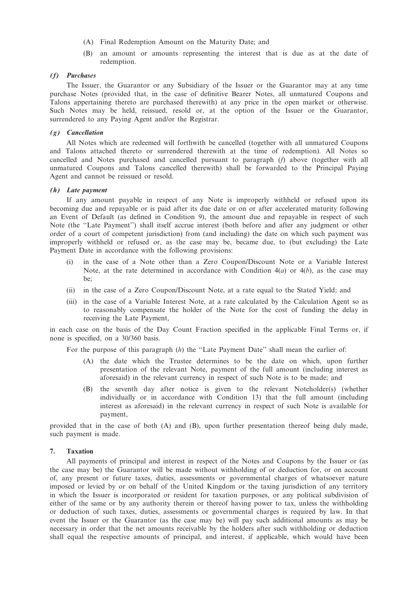- (A) Final Redemption Amount on the Maturity Date; and
- (B) an amount or amounts representing the interest that is due as at the date of redemption.

# (f) Purchases

The Issuer, the Guarantor or any Subsidiary of the Issuer or the Guarantor may at any time purchase Notes (provided that, in the case of definitive Bearer Notes, all unmatured Coupons and Talons appertaining thereto are purchased therewith) at any price in the open market or otherwise. Such Notes may be held, reissued, resold or, at the option of the Issuer or the Guarantor, surrendered to any Paying Agent and/or the Registrar.

### (g) Cancellation

All Notes which are redeemed will forthwith be cancelled (together with all unmatured Coupons and Talons attached thereto or surrendered therewith at the time of redemption). All Notes so cancelled and Notes purchased and cancelled pursuant to paragraph (f) above (together with all unmatured Coupons and Talons cancelled therewith) shall be forwarded to the Principal Paying Agent and cannot be reissued or resold.

### (h) Late payment

If any amount payable in respect of any Note is improperly withheld or refused upon its becoming due and repayable or is paid after its due date or on or after accelerated maturity following an Event of Default (as defined in Condition 9), the amount due and repayable in respect of such Note (the ''Late Payment'') shall itself accrue interest (both before and after any judgment or other order of a court of competent jurisdiction) from (and including) the date on which such payment was improperly withheld or refused or, as the case may be, became due, to (but excluding) the Late Payment Date in accordance with the following provisions:

- (i) in the case of a Note other than a Zero Coupon/Discount Note or a Variable Interest Note, at the rate determined in accordance with Condition  $4(a)$  or  $4(b)$ , as the case may be;
- (ii) in the case of a Zero Coupon/Discount Note, at a rate equal to the Stated Yield; and
- (iii) in the case of a Variable Interest Note, at a rate calculated by the Calculation Agent so as to reasonably compensate the holder of the Note for the cost of funding the delay in receiving the Late Payment,

in each case on the basis of the Day Count Fraction specified in the applicable Final Terms or, if none is specified, on a 30/360 basis.

For the purpose of this paragraph (h) the "Late Payment Date" shall mean the earlier of:

- (A) the date which the Trustee determines to be the date on which, upon further presentation of the relevant Note, payment of the full amount (including interest as aforesaid) in the relevant currency in respect of such Note is to be made; and
- (B) the seventh day after notice is given to the relevant Noteholder(s) (whether individually or in accordance with Condition 13) that the full amount (including interest as aforesaid) in the relevant currency in respect of such Note is available for payment,

provided that in the case of both (A) and (B), upon further presentation thereof being duly made, such payment is made.

## 7. Taxation

All payments of principal and interest in respect of the Notes and Coupons by the Issuer or (as the case may be) the Guarantor will be made without withholding of or deduction for, or on account of, any present or future taxes, duties, assessments or governmental charges of whatsoever nature imposed or levied by or on behalf of the United Kingdom or the taxing jurisdiction of any territory in which the Issuer is incorporated or resident for taxation purposes, or any political subdivision of either of the same or by any authority therein or thereof having power to tax, unless the withholding or deduction of such taxes, duties, assessments or governmental charges is required by law. In that event the Issuer or the Guarantor (as the case may be) will pay such additional amounts as may be necessary in order that the net amounts receivable by the holders after such withholding or deduction shall equal the respective amounts of principal, and interest, if applicable, which would have been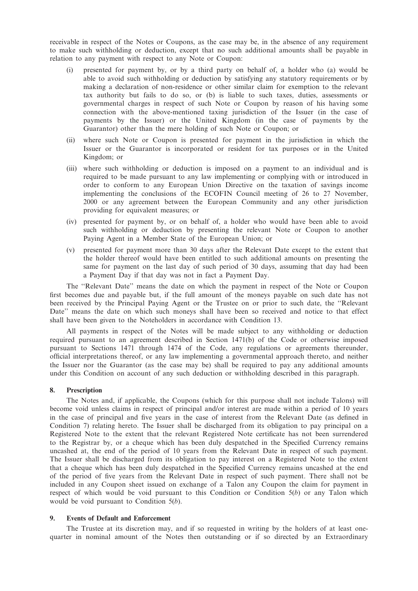receivable in respect of the Notes or Coupons, as the case may be, in the absence of any requirement to make such withholding or deduction, except that no such additional amounts shall be payable in relation to any payment with respect to any Note or Coupon:

- (i) presented for payment by, or by a third party on behalf of, a holder who (a) would be able to avoid such withholding or deduction by satisfying any statutory requirements or by making a declaration of non-residence or other similar claim for exemption to the relevant tax authority but fails to do so, or (b) is liable to such taxes, duties, assessments or governmental charges in respect of such Note or Coupon by reason of his having some connection with the above-mentioned taxing jurisdiction of the Issuer (in the case of payments by the Issuer) or the United Kingdom (in the case of payments by the Guarantor) other than the mere holding of such Note or Coupon; or
- (ii) where such Note or Coupon is presented for payment in the jurisdiction in which the Issuer or the Guarantor is incorporated or resident for tax purposes or in the United Kingdom; or
- (iii) where such withholding or deduction is imposed on a payment to an individual and is required to be made pursuant to any law implementing or complying with or introduced in order to conform to any European Union Directive on the taxation of savings income implementing the conclusions of the ECOFIN Council meeting of 26 to 27 November, 2000 or any agreement between the European Community and any other jurisdiction providing for equivalent measures; or
- (iv) presented for payment by, or on behalf of, a holder who would have been able to avoid such withholding or deduction by presenting the relevant Note or Coupon to another Paying Agent in a Member State of the European Union; or
- (v) presented for payment more than 30 days after the Relevant Date except to the extent that the holder thereof would have been entitled to such additional amounts on presenting the same for payment on the last day of such period of 30 days, assuming that day had been a Payment Day if that day was not in fact a Payment Day.

The ''Relevant Date'' means the date on which the payment in respect of the Note or Coupon first becomes due and payable but, if the full amount of the moneys payable on such date has not been received by the Principal Paying Agent or the Trustee on or prior to such date, the ''Relevant Date'' means the date on which such moneys shall have been so received and notice to that effect shall have been given to the Noteholders in accordance with Condition 13.

All payments in respect of the Notes will be made subject to any withholding or deduction required pursuant to an agreement described in Section 1471(b) of the Code or otherwise imposed pursuant to Sections 1471 through 1474 of the Code, any regulations or agreements thereunder, official interpretations thereof, or any law implementing a governmental approach thereto, and neither the Issuer nor the Guarantor (as the case may be) shall be required to pay any additional amounts under this Condition on account of any such deduction or withholding described in this paragraph.

#### 8. Prescription

The Notes and, if applicable, the Coupons (which for this purpose shall not include Talons) will become void unless claims in respect of principal and/or interest are made within a period of 10 years in the case of principal and five years in the case of interest from the Relevant Date (as defined in Condition 7) relating hereto. The Issuer shall be discharged from its obligation to pay principal on a Registered Note to the extent that the relevant Registered Note certificate has not been surrendered to the Registrar by, or a cheque which has been duly despatched in the Specified Currency remains uncashed at, the end of the period of 10 years from the Relevant Date in respect of such payment. The Issuer shall be discharged from its obligation to pay interest on a Registered Note to the extent that a cheque which has been duly despatched in the Specified Currency remains uncashed at the end of the period of five years from the Relevant Date in respect of such payment. There shall not be included in any Coupon sheet issued on exchange of a Talon any Coupon the claim for payment in respect of which would be void pursuant to this Condition or Condition  $5(b)$  or any Talon which would be void pursuant to Condition  $5(b)$ .

### 9. Events of Default and Enforcement

The Trustee at its discretion may, and if so requested in writing by the holders of at least onequarter in nominal amount of the Notes then outstanding or if so directed by an Extraordinary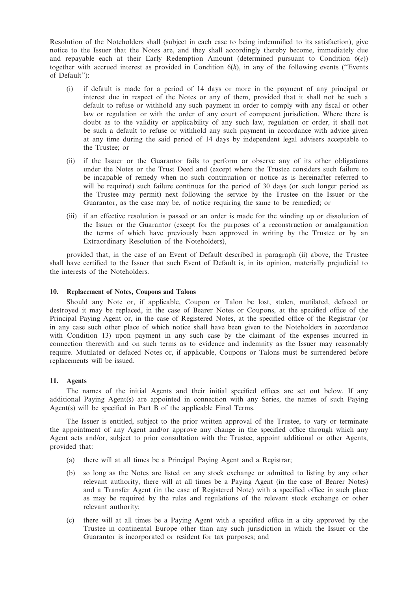Resolution of the Noteholders shall (subject in each case to being indemnified to its satisfaction), give notice to the Issuer that the Notes are, and they shall accordingly thereby become, immediately due and repayable each at their Early Redemption Amount (determined pursuant to Condition  $6(e)$ ) together with accrued interest as provided in Condition  $6(h)$ , in any of the following events ("Events") of Default''):

- (i) if default is made for a period of 14 days or more in the payment of any principal or interest due in respect of the Notes or any of them, provided that it shall not be such a default to refuse or withhold any such payment in order to comply with any fiscal or other law or regulation or with the order of any court of competent jurisdiction. Where there is doubt as to the validity or applicability of any such law, regulation or order, it shall not be such a default to refuse or withhold any such payment in accordance with advice given at any time during the said period of 14 days by independent legal advisers acceptable to the Trustee; or
- (ii) if the Issuer or the Guarantor fails to perform or observe any of its other obligations under the Notes or the Trust Deed and (except where the Trustee considers such failure to be incapable of remedy when no such continuation or notice as is hereinafter referred to will be required) such failure continues for the period of 30 days (or such longer period as the Trustee may permit) next following the service by the Trustee on the Issuer or the Guarantor, as the case may be, of notice requiring the same to be remedied; or
- (iii) if an effective resolution is passed or an order is made for the winding up or dissolution of the Issuer or the Guarantor (except for the purposes of a reconstruction or amalgamation the terms of which have previously been approved in writing by the Trustee or by an Extraordinary Resolution of the Noteholders),

provided that, in the case of an Event of Default described in paragraph (ii) above, the Trustee shall have certified to the Issuer that such Event of Default is, in its opinion, materially prejudicial to the interests of the Noteholders.

#### 10. Replacement of Notes, Coupons and Talons

Should any Note or, if applicable, Coupon or Talon be lost, stolen, mutilated, defaced or destroyed it may be replaced, in the case of Bearer Notes or Coupons, at the specified office of the Principal Paying Agent or, in the case of Registered Notes, at the specified office of the Registrar (or in any case such other place of which notice shall have been given to the Noteholders in accordance with Condition 13) upon payment in any such case by the claimant of the expenses incurred in connection therewith and on such terms as to evidence and indemnity as the Issuer may reasonably require. Mutilated or defaced Notes or, if applicable, Coupons or Talons must be surrendered before replacements will be issued.

## 11. Agents

The names of the initial Agents and their initial specified offices are set out below. If any additional Paying Agent(s) are appointed in connection with any Series, the names of such Paying Agent(s) will be specified in Part B of the applicable Final Terms.

The Issuer is entitled, subject to the prior written approval of the Trustee, to vary or terminate the appointment of any Agent and/or approve any change in the specified office through which any Agent acts and/or, subject to prior consultation with the Trustee, appoint additional or other Agents, provided that:

- (a) there will at all times be a Principal Paying Agent and a Registrar;
- (b) so long as the Notes are listed on any stock exchange or admitted to listing by any other relevant authority, there will at all times be a Paying Agent (in the case of Bearer Notes) and a Transfer Agent (in the case of Registered Note) with a specified office in such place as may be required by the rules and regulations of the relevant stock exchange or other relevant authority;
- (c) there will at all times be a Paying Agent with a specified office in a city approved by the Trustee in continental Europe other than any such jurisdiction in which the Issuer or the Guarantor is incorporated or resident for tax purposes; and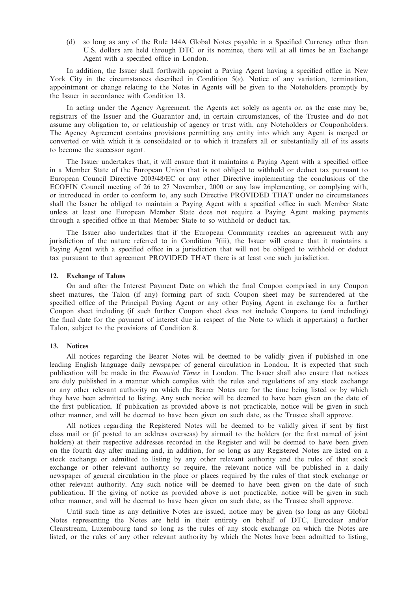(d) so long as any of the Rule 144A Global Notes payable in a Specified Currency other than U.S. dollars are held through DTC or its nominee, there will at all times be an Exchange Agent with a specified office in London.

In addition, the Issuer shall forthwith appoint a Paying Agent having a specified office in New York City in the circumstances described in Condition 5(e). Notice of any variation, termination, appointment or change relating to the Notes in Agents will be given to the Noteholders promptly by the Issuer in accordance with Condition 13.

In acting under the Agency Agreement, the Agents act solely as agents or, as the case may be, registrars of the Issuer and the Guarantor and, in certain circumstances, of the Trustee and do not assume any obligation to, or relationship of agency or trust with, any Noteholders or Couponholders. The Agency Agreement contains provisions permitting any entity into which any Agent is merged or converted or with which it is consolidated or to which it transfers all or substantially all of its assets to become the successor agent.

The Issuer undertakes that, it will ensure that it maintains a Paying Agent with a specified office in a Member State of the European Union that is not obliged to withhold or deduct tax pursuant to European Council Directive 2003/48/EC or any other Directive implementing the conclusions of the ECOFIN Council meeting of 26 to 27 November, 2000 or any law implementing, or complying with, or introduced in order to conform to, any such Directive PROVIDED THAT under no circumstances shall the Issuer be obliged to maintain a Paying Agent with a specified office in such Member State unless at least one European Member State does not require a Paying Agent making payments through a specified office in that Member State to so withhold or deduct tax.

The Issuer also undertakes that if the European Community reaches an agreement with any jurisdiction of the nature referred to in Condition 7(iii), the Issuer will ensure that it maintains a Paying Agent with a specified office in a jurisdiction that will not be obliged to withhold or deduct tax pursuant to that agreement PROVIDED THAT there is at least one such jurisdiction.

### 12. Exchange of Talons

On and after the Interest Payment Date on which the final Coupon comprised in any Coupon sheet matures, the Talon (if any) forming part of such Coupon sheet may be surrendered at the specified office of the Principal Paying Agent or any other Paying Agent in exchange for a further Coupon sheet including (if such further Coupon sheet does not include Coupons to (and including) the final date for the payment of interest due in respect of the Note to which it appertains) a further Talon, subject to the provisions of Condition 8.

#### 13. Notices

All notices regarding the Bearer Notes will be deemed to be validly given if published in one leading English language daily newspaper of general circulation in London. It is expected that such publication will be made in the Financial Times in London. The Issuer shall also ensure that notices are duly published in a manner which complies with the rules and regulations of any stock exchange or any other relevant authority on which the Bearer Notes are for the time being listed or by which they have been admitted to listing. Any such notice will be deemed to have been given on the date of the first publication. If publication as provided above is not practicable, notice will be given in such other manner, and will be deemed to have been given on such date, as the Trustee shall approve.

All notices regarding the Registered Notes will be deemed to be validly given if sent by first class mail or (if posted to an address overseas) by airmail to the holders (or the first named of joint holders) at their respective addresses recorded in the Register and will be deemed to have been given on the fourth day after mailing and, in addition, for so long as any Registered Notes are listed on a stock exchange or admitted to listing by any other relevant authority and the rules of that stock exchange or other relevant authority so require, the relevant notice will be published in a daily newspaper of general circulation in the place or places required by the rules of that stock exchange or other relevant authority. Any such notice will be deemed to have been given on the date of such publication. If the giving of notice as provided above is not practicable, notice will be given in such other manner, and will be deemed to have been given on such date, as the Trustee shall approve.

Until such time as any definitive Notes are issued, notice may be given (so long as any Global Notes representing the Notes are held in their entirety on behalf of DTC, Euroclear and/or Clearstream, Luxembourg (and so long as the rules of any stock exchange on which the Notes are listed, or the rules of any other relevant authority by which the Notes have been admitted to listing,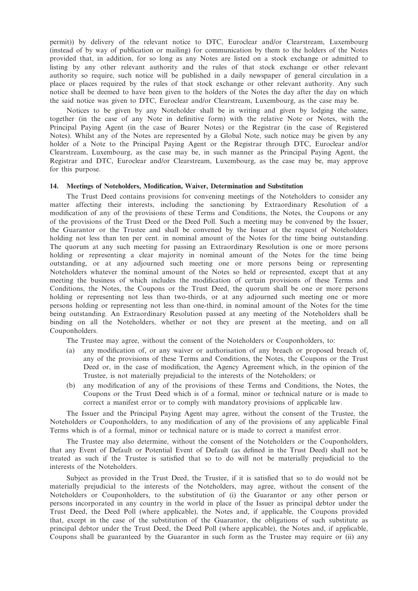permit)) by delivery of the relevant notice to DTC, Euroclear and/or Clearstream, Luxembourg (instead of by way of publication or mailing) for communication by them to the holders of the Notes provided that, in addition, for so long as any Notes are listed on a stock exchange or admitted to listing by any other relevant authority and the rules of that stock exchange or other relevant authority so require, such notice will be published in a daily newspaper of general circulation in a place or places required by the rules of that stock exchange or other relevant authority. Any such notice shall be deemed to have been given to the holders of the Notes the day after the day on which the said notice was given to DTC, Euroclear and/or Clearstream, Luxembourg, as the case may be.

Notices to be given by any Noteholder shall be in writing and given by lodging the same, together (in the case of any Note in definitive form) with the relative Note or Notes, with the Principal Paying Agent (in the case of Bearer Notes) or the Registrar (in the case of Registered Notes). Whilst any of the Notes are represented by a Global Note, such notice may be given by any holder of a Note to the Principal Paying Agent or the Registrar through DTC, Euroclear and/or Clearstream, Luxembourg, as the case may be, in such manner as the Principal Paying Agent, the Registrar and DTC, Euroclear and/or Clearstream, Luxembourg, as the case may be, may approve for this purpose.

#### 14. Meetings of Noteholders, Modification, Waiver, Determination and Substitution

The Trust Deed contains provisions for convening meetings of the Noteholders to consider any matter affecting their interests, including the sanctioning by Extraordinary Resolution of a modification of any of the provisions of these Terms and Conditions, the Notes, the Coupons or any of the provisions of the Trust Deed or the Deed Poll. Such a meeting may be convened by the Issuer, the Guarantor or the Trustee and shall be convened by the Issuer at the request of Noteholders holding not less than ten per cent. in nominal amount of the Notes for the time being outstanding. The quorum at any such meeting for passing an Extraordinary Resolution is one or more persons holding or representing a clear majority in nominal amount of the Notes for the time being outstanding, or at any adjourned such meeting one or more persons being or representing Noteholders whatever the nominal amount of the Notes so held or represented, except that at any meeting the business of which includes the modification of certain provisions of these Terms and Conditions, the Notes, the Coupons or the Trust Deed, the quorum shall be one or more persons holding or representing not less than two-thirds, or at any adjourned such meeting one or more persons holding or representing not less than one-third, in nominal amount of the Notes for the time being outstanding. An Extraordinary Resolution passed at any meeting of the Noteholders shall be binding on all the Noteholders, whether or not they are present at the meeting, and on all Couponholders.

The Trustee may agree, without the consent of the Noteholders or Couponholders, to:

- (a) any modification of, or any waiver or authorisation of any breach or proposed breach of, any of the provisions of these Terms and Conditions, the Notes, the Coupons or the Trust Deed or, in the case of modification, the Agency Agreement which, in the opinion of the Trustee, is not materially prejudicial to the interests of the Noteholders; or
- (b) any modification of any of the provisions of these Terms and Conditions, the Notes, the Coupons or the Trust Deed which is of a formal, minor or technical nature or is made to correct a manifest error or to comply with mandatory provisions of applicable law.

The Issuer and the Principal Paying Agent may agree, without the consent of the Trustee, the Noteholders or Couponholders, to any modification of any of the provisions of any applicable Final Terms which is of a formal, minor or technical nature or is made to correct a manifest error.

The Trustee may also determine, without the consent of the Noteholders or the Couponholders, that any Event of Default or Potential Event of Default (as defined in the Trust Deed) shall not be treated as such if the Trustee is satisfied that so to do will not be materially prejudicial to the interests of the Noteholders.

Subject as provided in the Trust Deed, the Trustee, if it is satisfied that so to do would not be materially prejudicial to the interests of the Noteholders, may agree, without the consent of the Noteholders or Couponholders, to the substitution of (i) the Guarantor or any other person or persons incorporated in any country in the world in place of the Issuer as principal debtor under the Trust Deed, the Deed Poll (where applicable), the Notes and, if applicable, the Coupons provided that, except in the case of the substitution of the Guarantor, the obligations of such substitute as principal debtor under the Trust Deed, the Deed Poll (where applicable), the Notes and, if applicable, Coupons shall be guaranteed by the Guarantor in such form as the Trustee may require or (ii) any